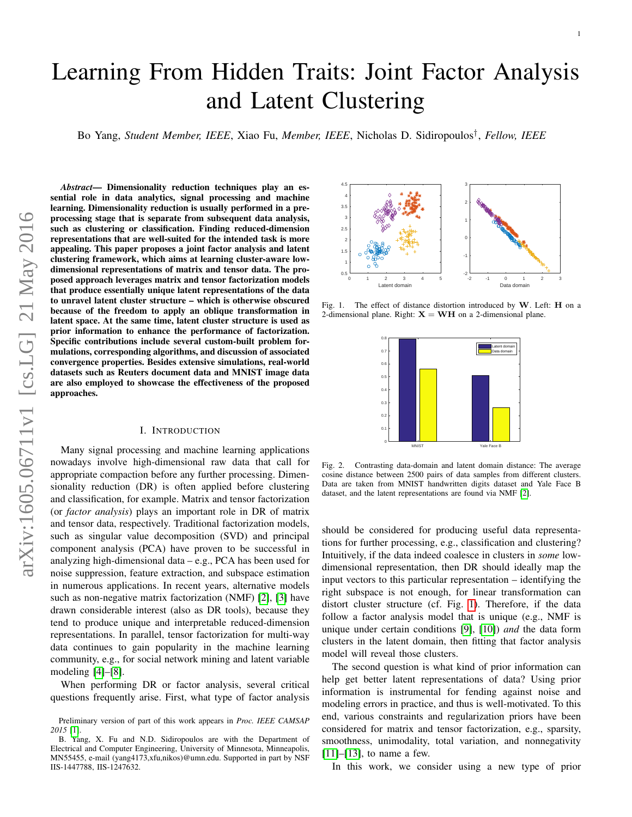# Learning From Hidden Traits: Joint Factor Analysis and Latent Clustering

Bo Yang, *Student Member, IEEE*, Xiao Fu, *Member, IEEE*, Nicholas D. Sidiropoulos† , *Fellow, IEEE*

*Abstract*— Dimensionality reduction techniques play an essential role in data analytics, signal processing and machine learning. Dimensionality reduction is usually performed in a preprocessing stage that is separate from subsequent data analysis, such as clustering or classification. Finding reduced-dimension representations that are well-suited for the intended task is more appealing. This paper proposes a joint factor analysis and latent clustering framework, which aims at learning cluster-aware lowdimensional representations of matrix and tensor data. The proposed approach leverages matrix and tensor factorization models that produce essentially unique latent representations of the data to unravel latent cluster structure – which is otherwise obscured because of the freedom to apply an oblique transformation in latent space. At the same time, latent cluster structure is used as prior information to enhance the performance of factorization. Specific contributions include several custom-built problem formulations, corresponding algorithms, and discussion of associated convergence properties. Besides extensive simulations, real-world datasets such as Reuters document data and MNIST image data are also employed to showcase the effectiveness of the proposed approaches.

# I. INTRODUCTION

Many signal processing and machine learning applications nowadays involve high-dimensional raw data that call for appropriate compaction before any further processing. Dimensionality reduction (DR) is often applied before clustering and classification, for example. Matrix and tensor factorization (or *factor analysis*) plays an important role in DR of matrix and tensor data, respectively. Traditional factorization models, such as singular value decomposition (SVD) and principal component analysis (PCA) have proven to be successful in analyzing high-dimensional data – e.g., PCA has been used for noise suppression, feature extraction, and subspace estimation in numerous applications. In recent years, alternative models such as non-negative matrix factorization (NMF) [\[2\]](#page-11-0), [\[3\]](#page-11-1) have drawn considerable interest (also as DR tools), because they tend to produce unique and interpretable reduced-dimension representations. In parallel, tensor factorization for multi-way data continues to gain popularity in the machine learning community, e.g., for social network mining and latent variable modeling [\[4\]](#page-11-2)–[\[8\]](#page-11-3).

When performing DR or factor analysis, several critical questions frequently arise. First, what type of factor analysis



Fig. 1. The effect of distance distortion introduced by W. Left: H on a 2-dimensional plane. Right:  $X = WH$  on a 2-dimensional plane.

<span id="page-0-0"></span>

<span id="page-0-1"></span>Fig. 2. Contrasting data-domain and latent domain distance: The average cosine distance between 2500 pairs of data samples from different clusters. Data are taken from MNIST handwritten digits dataset and Yale Face B dataset, and the latent representations are found via NMF [\[2\]](#page-11-0).

should be considered for producing useful data representations for further processing, e.g., classification and clustering? Intuitively, if the data indeed coalesce in clusters in *some* lowdimensional representation, then DR should ideally map the input vectors to this particular representation – identifying the right subspace is not enough, for linear transformation can distort cluster structure (cf. Fig. [1\)](#page-0-0). Therefore, if the data follow a factor analysis model that is unique (e.g., NMF is unique under certain conditions [\[9\]](#page-11-5), [\[10\]](#page-11-6)) *and* the data form clusters in the latent domain, then fitting that factor analysis model will reveal those clusters.

The second question is what kind of prior information can help get better latent representations of data? Using prior information is instrumental for fending against noise and modeling errors in practice, and thus is well-motivated. To this end, various constraints and regularization priors have been considered for matrix and tensor factorization, e.g., sparsity, smoothness, unimodality, total variation, and nonnegativity  $[11]$ – $[13]$ , to name a few.

In this work, we consider using a new type of prior

Preliminary version of part of this work appears in *Proc. IEEE CAMSAP 2015* [\[1\]](#page-11-4).

B. Yang, X. Fu and N.D. Sidiropoulos are with the Department of Electrical and Computer Engineering, University of Minnesota, Minneapolis, MN55455, e-mail (yang4173,xfu,nikos)@umn.edu. Supported in part by NSF IIS-1447788, IIS-1247632.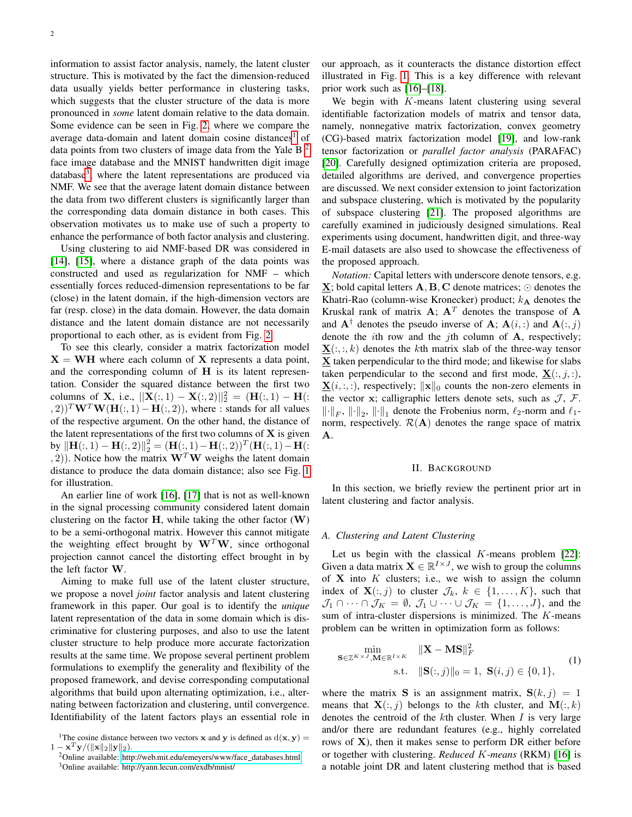information to assist factor analysis, namely, the latent cluster structure. This is motivated by the fact the dimension-reduced data usually yields better performance in clustering tasks, which suggests that the cluster structure of the data is more pronounced in *some* latent domain relative to the data domain. Some evidence can be seen in Fig. [2,](#page-0-1) where we compare the average data-domain and latent domain cosine distances<sup>[1](#page-1-0)</sup> of data points from two clusters of image data from the Yale B  $^2$  $^2$ face image database and the MNIST handwritten digit image database<sup>[3](#page-1-2)</sup>, where the latent representations are produced via NMF. We see that the average latent domain distance between the data from two different clusters is significantly larger than the corresponding data domain distance in both cases. This observation motivates us to make use of such a property to enhance the performance of both factor analysis and clustering.

Using clustering to aid NMF-based DR was considered in [\[14\]](#page-11-9), [\[15\]](#page-11-10), where a distance graph of the data points was constructed and used as regularization for NMF – which essentially forces reduced-dimension representations to be far (close) in the latent domain, if the high-dimension vectors are far (resp. close) in the data domain. However, the data domain distance and the latent domain distance are not necessarily proportional to each other, as is evident from Fig. [2.](#page-0-1)

To see this clearly, consider a matrix factorization model  $X = WH$  where each column of X represents a data point, and the corresponding column of H is its latent representation. Consider the squared distance between the first two columns of **X**, i.e.,  $||\mathbf{X}(:,1) - \mathbf{X}(:,2)||_2^2 = (\mathbf{H}(:,1) - \mathbf{H}(:,2))$  $(2)^{T}W^{T}W(H(:, 1) - H(:, 2))$ , where : stands for all values of the respective argument. On the other hand, the distance of the latent representations of the first two columns of  $X$  is given by  $\|\mathbf{H}(:, 1) - \mathbf{H}(:, 2)\|_2^2 = (\mathbf{H}(:, 1) - \mathbf{H}(:, 2))^T (\mathbf{H}(:, 1) - \mathbf{H}(:, 2))^T$  $(2)$ ). Notice how the matrix  $W<sup>T</sup>W$  weighs the latent domain distance to produce the data domain distance; also see Fig. [1](#page-0-0) for illustration.

An earlier line of work [\[16\]](#page-11-11), [\[17\]](#page-11-12) that is not as well-known in the signal processing community considered latent domain clustering on the factor  $H$ , while taking the other factor  $(W)$ to be a semi-orthogonal matrix. However this cannot mitigate the weighting effect brought by  $W^T W$ , since orthogonal projection cannot cancel the distorting effect brought in by the left factor W.

Aiming to make full use of the latent cluster structure, we propose a novel *joint* factor analysis and latent clustering framework in this paper. Our goal is to identify the *unique* latent representation of the data in some domain which is discriminative for clustering purposes, and also to use the latent cluster structure to help produce more accurate factorization results at the same time. We propose several pertinent problem formulations to exemplify the generality and flexibility of the proposed framework, and devise corresponding computational algorithms that build upon alternating optimization, i.e., alternating between factorization and clustering, until convergence. Identifiability of the latent factors plays an essential role in our approach, as it counteracts the distance distortion effect illustrated in Fig. [1.](#page-0-0) This is a key difference with relevant prior work such as [\[16\]](#page-11-11)–[\[18\]](#page-11-13).

We begin with  $K$ -means latent clustering using several identifiable factorization models of matrix and tensor data, namely, nonnegative matrix factorization, convex geometry (CG)-based matrix factorization model [\[19\]](#page-11-14), and low-rank tensor factorization or *parallel factor analysis* (PARAFAC) [\[20\]](#page-11-15). Carefully designed optimization criteria are proposed, detailed algorithms are derived, and convergence properties are discussed. We next consider extension to joint factorization and subspace clustering, which is motivated by the popularity of subspace clustering [\[21\]](#page-11-16). The proposed algorithms are carefully examined in judiciously designed simulations. Real experiments using document, handwritten digit, and three-way E-mail datasets are also used to showcase the effectiveness of the proposed approach.

*Notation:* Capital letters with underscore denote tensors, e.g.  $X$ ; bold capital letters  $A, B, C$  denote matrices;  $\odot$  denotes the Khatri-Rao (column-wise Kronecker) product;  $k_{\text{A}}$  denotes the Kruskal rank of matrix  $A$ ;  $A<sup>T</sup>$  denotes the transpose of A and  $A^{\dagger}$  denotes the pseudo inverse of A;  $A(i,:)$  and  $A(:,j)$ denote the *i*th row and the *j*th column of  $A$ , respectively;  $X(:, :, k)$  denotes the kth matrix slab of the three-way tensor X taken perpendicular to the third mode; and likewise for slabs taken perpendicular to the second and first mode,  $X(:, j, :)$ ,  $\mathbf{X}(i, :, :)$ , respectively;  $\|\mathbf{x}\|_0$  counts the non-zero elements in the vector x; calligraphic letters denote sets, such as  $J$ ,  $\mathcal{F}$ .  $\left\Vert \cdot\right\Vert_F$ ,  $\left\Vert \cdot\right\Vert_2$ ,  $\left\Vert \cdot\right\Vert_1$  denote the Frobenius norm,  $\ell_2$ -norm and  $\ell_1$ norm, respectively.  $\mathcal{R}(\mathbf{A})$  denotes the range space of matrix A.

#### II. BACKGROUND

In this section, we briefly review the pertinent prior art in latent clustering and factor analysis.

#### *A. Clustering and Latent Clustering*

Let us begin with the classical  $K$ -means problem  $[22]$ : Given a data matrix  $\mathbf{X} \in \mathbb{R}^{I \times J}$ , we wish to group the columns of  $X$  into  $K$  clusters; i.e., we wish to assign the column index of  $\mathbf{X}(:,j)$  to cluster  $\mathcal{J}_k$ ,  $k \in \{1, \ldots, K\}$ , such that  $\mathcal{J}_1 \cap \cdots \cap \mathcal{J}_K = \emptyset$ ,  $\mathcal{J}_1 \cup \cdots \cup \mathcal{J}_K = \{1, \ldots, J\}$ , and the sum of intra-cluster dispersions is minimized. The K-means problem can be written in optimization form as follows:

$$
\min_{\mathbf{S}\in\mathbb{Z}^{K\times J},\mathbf{M}\in\mathbb{R}^{I\times K}} \quad \|\mathbf{X}-\mathbf{M}\mathbf{S}\|_{F}^{2}
$$
\n
$$
\text{s.t.} \quad \|\mathbf{S}(:,j)\|_{0}=1, \ \mathbf{S}(i,j)\in\{0,1\},\tag{1}
$$

where the matrix **S** is an assignment matrix,  $S(k, j) = 1$ means that  $X(:, j)$  belongs to the kth cluster, and  $M(:, k)$ denotes the centroid of the  $k$ th cluster. When  $I$  is very large and/or there are redundant features (e.g., highly correlated rows of X), then it makes sense to perform DR either before or together with clustering. *Reduced* K*-means* (RKM) [\[16\]](#page-11-11) is a notable joint DR and latent clustering method that is based

<span id="page-1-0"></span><sup>&</sup>lt;sup>1</sup>The cosine distance between two vectors **x** and **y** is defined as  $d(\mathbf{x}, \mathbf{y}) =$  $1 - \mathbf{x}^T \mathbf{y} / (\|\mathbf{x}\|_2 \|\mathbf{y}\|_2).$ 

<span id="page-1-2"></span><span id="page-1-1"></span><sup>&</sup>lt;sup>2</sup>Online available: [http://web.mit.edu/emeyers/www/face](http://web.mit.edu/emeyers/www/face_databases.html)\_databases.html <sup>3</sup>Online available: http://yann.lecun.com/exdb/mnist/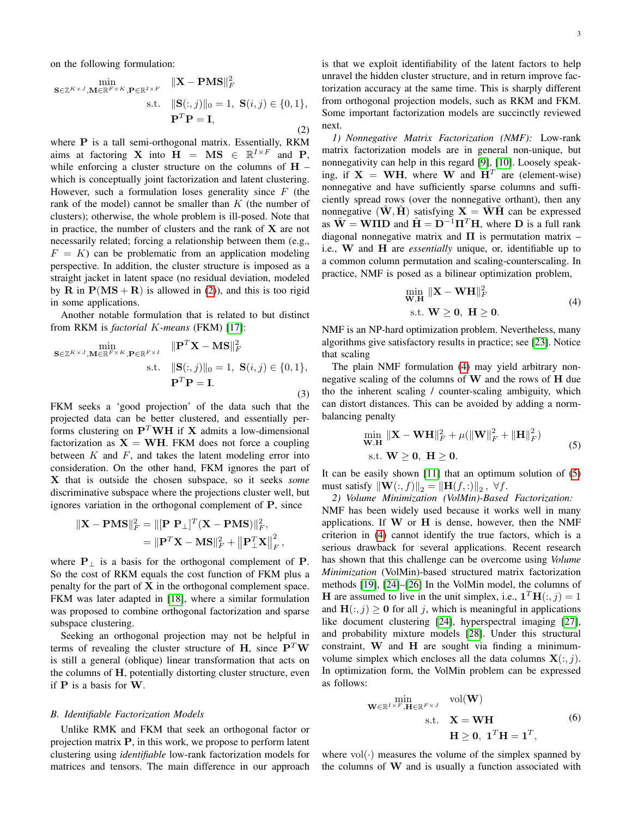on the following formulation:

<span id="page-2-0"></span>
$$
\begin{aligned}\n\min_{\mathbf{S} \in \mathbb{Z}^{K \times J}, \mathbf{M} \in \mathbb{R}^{F \times K}, \mathbf{P} \in \mathbb{R}^{I \times F}} & \|\mathbf{X} - \mathbf{PMS}\|_F^2 \\
\text{s.t.} & \|\mathbf{S}(:,j)\|_0 = 1, \ \mathbf{S}(i,j) \in \{0, 1\}, \\
\mathbf{P}^T \mathbf{P} = \mathbf{I},\n\end{aligned}
$$
\n
$$
(2)
$$

where P is a tall semi-orthogonal matrix. Essentially, RKM aims at factoring **X** into  $\mathbf{H} = \mathbf{M}\mathbf{S} \in \mathbb{R}^{I \times F}$  and **P**, while enforcing a cluster structure on the columns of  $H$ which is conceptually joint factorization and latent clustering. However, such a formulation loses generality since  $F$  (the rank of the model) cannot be smaller than  $K$  (the number of clusters); otherwise, the whole problem is ill-posed. Note that in practice, the number of clusters and the rank of  $X$  are not necessarily related; forcing a relationship between them (e.g.,  $F = K$ ) can be problematic from an application modeling perspective. In addition, the cluster structure is imposed as a straight jacket in latent space (no residual deviation, modeled by  $\bf{R}$  in  $\bf{P}(MS + R)$  is allowed in [\(2\)](#page-2-0)), and this is too rigid in some applications.

Another notable formulation that is related to but distinct from RKM is *factorial* K*-means* (FKM) [\[17\]](#page-11-12):

$$
\begin{aligned} \mathbf{S} \in \mathbb{Z}^{K \times J}, & \mathbf{M} \in \mathbb{R}^{F \times K}, & \mathbf{P} \in \mathbb{R}^{F \times I} \quad \| \mathbf{P}^T \mathbf{X} - \mathbf{M} \mathbf{S} \|^2_F \\ \text{s.t.} \quad & \| \mathbf{S}(:,j) \|_0 = 1, \ \mathbf{S}(i,j) \in \{0,1\}, \\ & \mathbf{P}^T \mathbf{P} = \mathbf{I}. \end{aligned}
$$
\n(3)

FKM seeks a 'good projection' of the data such that the projected data can be better clustered, and essentially performs clustering on  $\mathbf{P}^T \mathbf{W} \mathbf{H}$  if **X** admits a low-dimensional factorization as  $X = WH$ . FKM does not force a coupling between  $K$  and  $F$ , and takes the latent modeling error into consideration. On the other hand, FKM ignores the part of X that is outside the chosen subspace, so it seeks *some* discriminative subspace where the projections cluster well, but ignores variation in the orthogonal complement of P, since

$$
\begin{aligned} \|\mathbf{X} - \mathbf{PMS}\|_F^2 &= \|[ \mathbf{P} \ \mathbf{P}_\perp]^T (\mathbf{X} - \mathbf{PMS}) \|_F^2, \\ &= \|\mathbf{P}^T \mathbf{X} - \mathbf{MS}\|_F^2 + \|\mathbf{P}_\perp^T \mathbf{X}\|_F^2 \,, \end{aligned}
$$

where  $P_{\perp}$  is a basis for the orthogonal complement of P. So the cost of RKM equals the cost function of FKM plus a penalty for the part of  $X$  in the orthogonal complement space. FKM was later adapted in [\[18\]](#page-11-13), where a similar formulation was proposed to combine orthogonal factorization and sparse subspace clustering.

Seeking an orthogonal projection may not be helpful in terms of revealing the cluster structure of H, since  $P<sup>T</sup>W$ is still a general (oblique) linear transformation that acts on the columns of H, potentially distorting cluster structure, even if P is a basis for W.

## *B. Identifiable Factorization Models*

Unlike RMK and FKM that seek an orthogonal factor or projection matrix P, in this work, we propose to perform latent clustering using *identifiable* low-rank factorization models for matrices and tensors. The main difference in our approach is that we exploit identifiability of the latent factors to help unravel the hidden cluster structure, and in return improve factorization accuracy at the same time. This is sharply different from orthogonal projection models, such as RKM and FKM. Some important factorization models are succinctly reviewed

*1) Nonnegative Matrix Factorization (NMF):* Low-rank matrix factorization models are in general non-unique, but nonnegativity can help in this regard [\[9\]](#page-11-5), [\[10\]](#page-11-6). Loosely speaking, if  $X = WH$ , where W and  $H<sup>T</sup>$  are (element-wise) nonnegative and have sufficiently sparse columns and sufficiently spread rows (over the nonnegative orthant), then any nonnegative  $(W, H)$  satisfying  $X = WH$  can be expressed as  $\tilde{W} = W \Pi D$  and  $\tilde{H} = D^{-1} \Pi^{T} H$ , where D is a full rank diagonal nonnegative matrix and  $\Pi$  is permutation matrix – i.e., W and H are *essentially* unique, or, identifiable up to a common column permutation and scaling-counterscaling. In practice, NMF is posed as a bilinear optimization problem,

next.

<span id="page-2-1"></span>
$$
\min_{\mathbf{W}, \mathbf{H}} \|\mathbf{X} - \mathbf{W}\mathbf{H}\|_{F}^{2}
$$
\n
$$
\text{s.t. } \mathbf{W} \ge 0, \ \mathbf{H} \ge 0.
$$
\n
$$
(4)
$$

NMF is an NP-hard optimization problem. Nevertheless, many algorithms give satisfactory results in practice; see [\[23\]](#page-12-0). Notice that scaling

The plain NMF formulation [\(4\)](#page-2-1) may yield arbitrary nonnegative scaling of the columns of  $W$  and the rows of  $H$  due tho the inherent scaling / counter-scaling ambiguity, which can distort distances. This can be avoided by adding a normbalancing penalty

<span id="page-2-2"></span>
$$
\min_{\mathbf{W}, \mathbf{H}} \|\mathbf{X} - \mathbf{W}\mathbf{H}\|_{F}^{2} + \mu(\|\mathbf{W}\|_{F}^{2} + \|\mathbf{H}\|_{F}^{2})
$$
\n
$$
\text{s.t. } \mathbf{W} \ge \mathbf{0}, \ \mathbf{H} \ge \mathbf{0}.\tag{5}
$$

It can be easily shown [\[11\]](#page-11-7) that an optimum solution of [\(5\)](#page-2-2) must satisfy  $\left\|\mathbf{W}(:, f)\right\|_2 = \left\|\mathbf{H}(f, :)\right\|_2, \ \forall f.$ 

*2) Volume Minimization (VolMin)-Based Factorization:* NMF has been widely used because it works well in many applications. If W or H is dense, however, then the NMF criterion in [\(4\)](#page-2-1) cannot identify the true factors, which is a serious drawback for several applications. Recent research has shown that this challenge can be overcome using *Volume Minimization* (VolMin)-based structured matrix factorization methods [\[19\]](#page-11-14), [\[24\]](#page-12-1)–[\[26\]](#page-12-2) In the VolMin model, the columns of **H** are assumed to live in the unit simplex, i.e.,  $\mathbf{1}^T \mathbf{H}(:,j) = 1$ and  $H(:, j) \ge 0$  for all j, which is meaningful in applications like document clustering [\[24\]](#page-12-1), hyperspectral imaging [\[27\]](#page-12-3), and probability mixture models [\[28\]](#page-12-4). Under this structural constraint, W and H are sought via finding a minimumvolume simplex which encloses all the data columns  $X(:, j)$ . In optimization form, the VolMin problem can be expressed as follows:

<span id="page-2-3"></span>
$$
\begin{aligned}\n\min_{\mathbf{W} \in \mathbb{R}^{I \times F}, \mathbf{H} \in \mathbb{R}^{F \times J}} & \text{vol}(\mathbf{W}) \\
& \text{s.t.} \quad \mathbf{X} = \mathbf{W} \mathbf{H} \\
& \mathbf{H} \geq \mathbf{0}, \ \mathbf{1}^T \mathbf{H} = \mathbf{1}^T,\n\end{aligned}
$$
\n(6)

where  $vol(\cdot)$  measures the volume of the simplex spanned by the columns of  $W$  and is usually a function associated with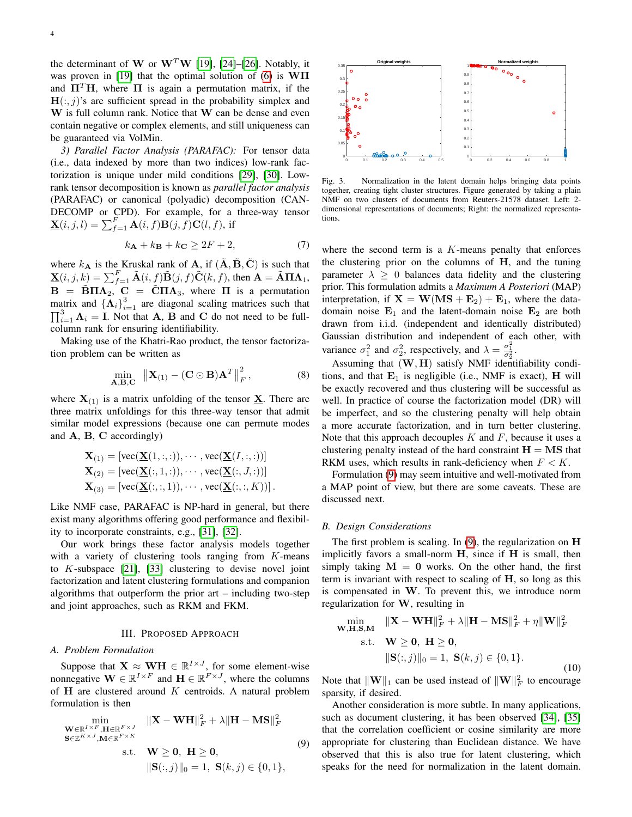the determinant of W or  $W<sup>T</sup>W$  [\[19\]](#page-11-14), [\[24\]](#page-12-1)–[\[26\]](#page-12-2). Notably, it was proven in [\[19\]](#page-11-14) that the optimal solution of [\(6\)](#page-2-3) is WII and  $\Pi^T H$ , where  $\Pi$  is again a permutation matrix, if the  $H(:, j)$ 's are sufficient spread in the probability simplex and W is full column rank. Notice that W can be dense and even contain negative or complex elements, and still uniqueness can be guaranteed via VolMin.

*3) Parallel Factor Analysis (PARAFAC):* For tensor data (i.e., data indexed by more than two indices) low-rank factorization is unique under mild conditions [\[29\]](#page-12-5), [\[30\]](#page-12-6). Lowrank tensor decomposition is known as *parallel factor analysis* (PARAFAC) or canonical (polyadic) decomposition (CAN-DECOMP or CPD). For example, for a three-way tensor  $\underline{\mathbf{X}}(i, j, l) = \sum_{f=1}^{F} \mathbf{A}(i, f) \mathbf{B}(j, f) \mathbf{C}(l, f)$ , if

$$
k_{\mathbf{A}} + k_{\mathbf{B}} + k_{\mathbf{C}} \ge 2F + 2,\tag{7}
$$

where  $k_{\mathbf{A}}$  is the Kruskal rank of  $\mathbf{A}$ , if  $(\mathbf{A}, \mathbf{B}, \mathbf{C})$  is such that  $\underline{\mathbf{X}}(i, j, k) = \sum_{f=1}^{F} \tilde{\mathbf{A}}(i, f) \tilde{\mathbf{B}}(j, f) \tilde{\mathbf{C}}(k, f)$ , then  $\mathbf{A} = \tilde{\mathbf{A}} \mathbf{\Pi} \mathbf{\Lambda}_1$ ,  $B = \tilde{B} \Pi \Lambda_2$ ,  $C = \tilde{C} \Pi \Lambda_3$ , where  $\Pi$  is a permutation matrix and  $\{\Lambda_i\}_{i=1}^3$  are diagonal scaling matrices such that  $\prod_{i=1}^{3} \Lambda_i = I$ . Not that **A**, **B** and **C** do not need to be fullcolumn rank for ensuring identifiability.

Making use of the Khatri-Rao product, the tensor factorization problem can be written as

$$
\min_{\mathbf{A}, \mathbf{B}, \mathbf{C}} \|\mathbf{X}_{(1)} - (\mathbf{C} \odot \mathbf{B})\mathbf{A}^T\|_F^2, \tag{8}
$$

where  $X_{(1)}$  is a matrix unfolding of the tensor  $X$ . There are three matrix unfoldings for this three-way tensor that admit similar model expressions (because one can permute modes and A, B, C accordingly)

$$
\mathbf{X}_{(1)} = [\text{vec}(\mathbf{X}(1,:;)), \cdots, \text{vec}(\mathbf{X}(I,:;))]
$$

$$
\mathbf{X}_{(2)} = [\text{vec}(\mathbf{X}(:,1,:)), \cdots, \text{vec}(\mathbf{X}(:,J,:))]
$$

$$
\mathbf{X}_{(3)} = [\text{vec}(\mathbf{X}(:,:,1)), \cdots, \text{vec}(\mathbf{X}(:,:,K))].
$$

Like NMF case, PARAFAC is NP-hard in general, but there exist many algorithms offering good performance and flexibility to incorporate constraints, e.g., [\[31\]](#page-12-7), [\[32\]](#page-12-8).

Our work brings these factor analysis models together with a variety of clustering tools ranging from  $K$ -means to  $K$ -subspace [\[21\]](#page-11-16), [\[33\]](#page-12-9) clustering to devise novel joint factorization and latent clustering formulations and companion algorithms that outperform the prior art – including two-step and joint approaches, such as RKM and FKM.

#### III. PROPOSED APPROACH

## *A. Problem Formulation*

Suppose that  $X \approx WH \in \mathbb{R}^{I \times J}$ , for some element-wise nonnegative  $\mathbf{W} \in \mathbb{R}^{I \times F}$  and  $\mathbf{H} \in \mathbb{R}^{F \times J}$ , where the columns of  $H$  are clustered around  $K$  centroids. A natural problem formulation is then

<span id="page-3-0"></span>
$$
\min_{\substack{\mathbf{W}\in\mathbb{R}^{I\times F},\mathbf{H}\in\mathbb{R}^{F\times J}\\ \mathbf{S}\in\mathbb{Z}^{K\times J},\mathbf{M}\in\mathbb{R}^{F\times K}}} \|\mathbf{X}-\mathbf{W}\mathbf{H}\|_{F}^{2} + \lambda \|\mathbf{H}-\mathbf{M}\mathbf{S}\|_{F}^{2}
$$
\n
$$
\text{s.t.} \quad \mathbf{W}\geq \mathbf{0}, \quad \mathbf{H}\geq \mathbf{0},
$$
\n
$$
\|\mathbf{S}(:,j)\|_{0} = 1, \ \mathbf{S}(k,j) \in \{0,1\},
$$
\n(9)



<span id="page-3-1"></span>Fig. 3. Normalization in the latent domain helps bringing data points together, creating tight cluster structures. Figure generated by taking a plain NMF on two clusters of documents from Reuters-21578 dataset. Left: 2 dimensional representations of documents; Right: the normalized representations.

where the second term is a  $K$ -means penalty that enforces the clustering prior on the columns of H, and the tuning parameter  $\lambda > 0$  balances data fidelity and the clustering prior. This formulation admits a *Maximum A Posteriori* (MAP) interpretation, if  $X = W(MS + E_2) + E_1$ , where the datadomain noise  $E_1$  and the latent-domain noise  $E_2$  are both drawn from i.i.d. (independent and identically distributed) Gaussian distribution and independent of each other, with variance  $\sigma_1^2$  and  $\sigma_2^2$ , respectively, and  $\lambda = \frac{\sigma_1^2}{\sigma_2^2}$ .

Assuming that  $(W, H)$  satisfy NMF identifiability conditions, and that  $E_1$  is negligible (i.e., NMF is exact), H will be exactly recovered and thus clustering will be successful as well. In practice of course the factorization model (DR) will be imperfect, and so the clustering penalty will help obtain a more accurate factorization, and in turn better clustering. Note that this approach decouples  $K$  and  $F$ , because it uses a clustering penalty instead of the hard constraint  $H = MS$  that RKM uses, which results in rank-deficiency when  $F < K$ .

Formulation [\(9\)](#page-3-0) may seem intuitive and well-motivated from a MAP point of view, but there are some caveats. These are discussed next.

#### *B. Design Considerations*

The first problem is scaling. In  $(9)$ , the regularization on  $H$ implicitly favors a small-norm  $H$ , since if  $H$  is small, then simply taking  $M = 0$  works. On the other hand, the first term is invariant with respect to scaling of H, so long as this is compensated in W. To prevent this, we introduce norm regularization for W, resulting in

$$
\min_{\mathbf{W}, \mathbf{H}, \mathbf{S}, \mathbf{M}} \quad \|\mathbf{X} - \mathbf{W}\mathbf{H}\|_{F}^{2} + \lambda \|\mathbf{H} - \mathbf{M}\mathbf{S}\|_{F}^{2} + \eta \|\mathbf{W}\|_{F}^{2}
$$
\n
$$
\text{s.t.} \quad \mathbf{W} \ge \mathbf{0}, \quad \mathbf{H} \ge \mathbf{0},
$$
\n
$$
\|\mathbf{S}(:,j)\|_{0} = 1, \ \mathbf{S}(k, j) \in \{0, 1\}.
$$
\n(10)

Note that  $\|\mathbf{W}\|_1$  can be used instead of  $\|\mathbf{W}\|_F^2$  to encourage sparsity, if desired.

Another consideration is more subtle. In many applications, such as document clustering, it has been observed [\[34\]](#page-12-10), [\[35\]](#page-12-11) that the correlation coefficient or cosine similarity are more appropriate for clustering than Euclidean distance. We have observed that this is also true for latent clustering, which speaks for the need for normalization in the latent domain.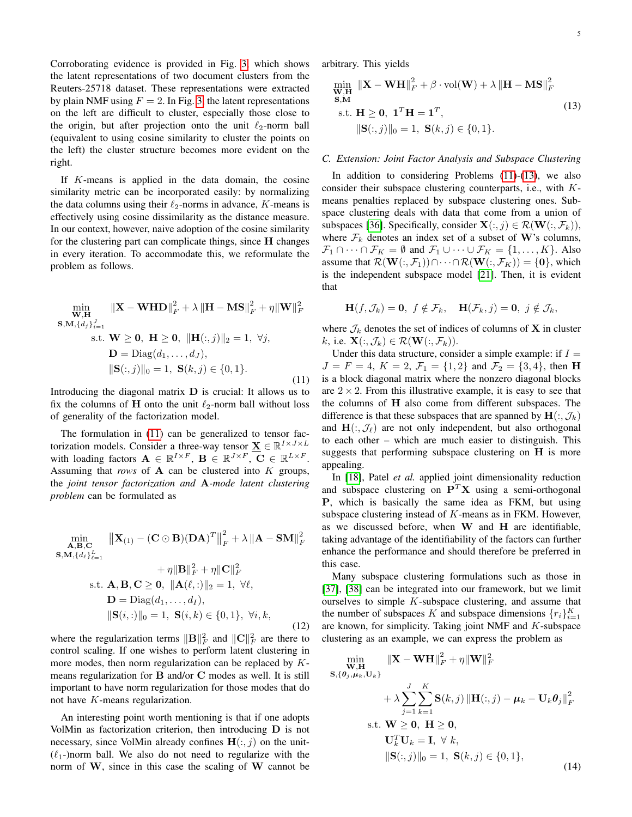Corroborating evidence is provided in Fig. [3,](#page-3-1) which shows the latent representations of two document clusters from the Reuters-25718 dataset. These representations were extracted by plain NMF using  $F = 2$ . In Fig. [3,](#page-3-1) the latent representations on the left are difficult to cluster, especially those close to the origin, but after projection onto the unit  $\ell_2$ -norm ball (equivalent to using cosine similarity to cluster the points on the left) the cluster structure becomes more evident on the right.

If  $K$ -means is applied in the data domain, the cosine similarity metric can be incorporated easily: by normalizing the data columns using their  $\ell_2$ -norms in advance, K-means is effectively using cosine dissimilarity as the distance measure. In our context, however, naive adoption of the cosine similarity for the clustering part can complicate things, since  $H$  changes in every iteration. To accommodate this, we reformulate the problem as follows.

<span id="page-4-0"></span>
$$
\min_{\mathbf{W}, \mathbf{H}} \|\mathbf{X} - \mathbf{W}\mathbf{H}\mathbf{D}\|_{F}^{2} + \lambda \|\mathbf{H} - \mathbf{M}\mathbf{S}\|_{F}^{2} + \eta \|\mathbf{W}\|_{F}^{2}
$$
  
\n
$$
\text{s.M.}\{d_{j}\}_{i=1}^{J}
$$
  
\n
$$
\text{s.t. } \mathbf{W} \ge \mathbf{0}, \ \mathbf{H} \ge \mathbf{0}, \ \|\mathbf{H}(:,j)\|_{2} = 1, \ \forall j,
$$
  
\n
$$
\mathbf{D} = \text{Diag}(d_{1}, ..., d_{J}),
$$
  
\n
$$
\|\mathbf{S}(:,j)\|_{0} = 1, \ \mathbf{S}(k, j) \in \{0, 1\}.
$$
\n(11)

Introducing the diagonal matrix  $D$  is crucial: It allows us to fix the columns of H onto the unit  $\ell_2$ -norm ball without loss of generality of the factorization model.

The formulation in [\(11\)](#page-4-0) can be generalized to tensor factorization models. Consider a three-way tensor  $\underline{\mathbf{X}} \in \mathbb{R}^{I \times J \times L}$ with loading factors  $\mathbf{A} \in \mathbb{R}^{I \times F}$ ,  $\mathbf{B} \in \mathbb{R}^{J \times F}$ ,  $\mathbf{C} \in \mathbb{R}^{L \times F}$ . Assuming that *rows* of A can be clustered into K groups, the *joint tensor factorization and* A*-mode latent clustering problem* can be formulated as

<span id="page-4-2"></span>
$$
\min_{\mathbf{A}, \mathbf{B}, \mathbf{C}} \|\mathbf{X}_{(1)} - (\mathbf{C} \odot \mathbf{B})(\mathbf{D}\mathbf{A})^T\|_F^2 + \lambda \|\mathbf{A} - \mathbf{S}\mathbf{M}\|_F^2
$$
  
\n
$$
\mathbf{s}, \mathbf{M}, \{d_{\ell}\}_{\ell=1}^L
$$
\n
$$
+ \eta \|\mathbf{B}\|_F^2 + \eta \|\mathbf{C}\|_F^2
$$
  
\ns.t.  $\mathbf{A}, \mathbf{B}, \mathbf{C} \geq \mathbf{0}, \|\mathbf{A}(\ell, :)\|_2 = 1, \forall \ell,$   
\n $\mathbf{D} = \text{Diag}(d_1, ..., d_I),$   
\n $\|\mathbf{S}(i, :)\|_0 = 1, \ \mathbf{S}(i, k) \in \{0, 1\}, \ \forall i, k,$ \n(12)

where the regularization terms  $\|\mathbf{B}\|_F^2$  and  $\|\mathbf{C}\|_F^2$  are there to control scaling. If one wishes to perform latent clustering in more modes, then norm regularization can be replaced by  $K$ means regularization for B and/or C modes as well. It is still important to have norm regularization for those modes that do not have K-means regularization.

An interesting point worth mentioning is that if one adopts VolMin as factorization criterion, then introducing D is not necessary, since VolMin already confines  $H(:, j)$  on the unit- $(\ell_1$ -)norm ball. We also do not need to regularize with the norm of  $W$ , since in this case the scaling of  $W$  cannot be arbitrary. This yields

<span id="page-4-1"></span>
$$
\min_{\mathbf{W}, \mathbf{H}} \|\mathbf{X} - \mathbf{W}\mathbf{H}\|_{F}^{2} + \beta \cdot \text{vol}(\mathbf{W}) + \lambda \|\mathbf{H} - \mathbf{M}\mathbf{S}\|_{F}^{2}
$$
\n
$$
\text{s.t. } \mathbf{H} \geq \mathbf{0}, \ \mathbf{1}^{T}\mathbf{H} = \mathbf{1}^{T},
$$
\n
$$
\|\mathbf{S}(:,j)\|_{0} = 1, \ \mathbf{S}(k,j) \in \{0,1\}.
$$
\n(13)

# *C. Extension: Joint Factor Analysis and Subspace Clustering*

In addition to considering Problems [\(11\)](#page-4-0)-[\(13\)](#page-4-1), we also consider their subspace clustering counterparts, i.e., with Kmeans penalties replaced by subspace clustering ones. Subspace clustering deals with data that come from a union of subspaces [\[36\]](#page-12-12). Specifically, consider  $\mathbf{X}(:, j) \in \mathcal{R}(\mathbf{W}(:, \mathcal{F}_k)),$ where  $\mathcal{F}_k$  denotes an index set of a subset of W's columns,  $\mathcal{F}_1 \cap \cdots \cap \mathcal{F}_K = \emptyset$  and  $\mathcal{F}_1 \cup \cdots \cup \mathcal{F}_K = \{1, \ldots, K\}$ . Also assume that  $\mathcal{R}(\mathbf{W}(:, \mathcal{F}_1)) \cap \cdots \cap \mathcal{R}(\mathbf{W}(:, \mathcal{F}_K)) = \{0\}$ , which is the independent subspace model [\[21\]](#page-11-16). Then, it is evident that

$$
\mathbf{H}(f,\mathcal{J}_k)=\mathbf{0},\ f\notin\mathcal{F}_k,\quad \mathbf{H}(\mathcal{F}_k,j)=\mathbf{0},\ j\notin\mathcal{J}_k,
$$

where  $\mathcal{J}_k$  denotes the set of indices of columns of **X** in cluster k, i.e.  $\mathbf{X}(:, \mathcal{J}_k) \in \mathcal{R}(\mathbf{W}(:, \mathcal{F}_k)).$ 

Under this data structure, consider a simple example: if  $I =$  $J = F = 4$ ,  $K = 2$ ,  $\mathcal{F}_1 = \{1, 2\}$  and  $\mathcal{F}_2 = \{3, 4\}$ , then **H** is a block diagonal matrix where the nonzero diagonal blocks are  $2 \times 2$ . From this illustrative example, it is easy to see that the columns of H also come from different subspaces. The difference is that these subspaces that are spanned by  $H(:,\mathcal{J}_k)$ and  $H(:,\mathcal{J}_\ell)$  are not only independent, but also orthogonal to each other – which are much easier to distinguish. This suggests that performing subspace clustering on H is more appealing.

In [\[18\]](#page-11-13), Patel *et al.* applied joint dimensionality reduction and subspace clustering on  $P^T X$  using a semi-orthogonal P, which is basically the same idea as FKM, but using subspace clustering instead of K-means as in FKM. However, as we discussed before, when W and H are identifiable, taking advantage of the identifiability of the factors can further enhance the performance and should therefore be preferred in this case.

Many subspace clustering formulations such as those in [\[37\]](#page-12-13), [\[38\]](#page-12-14) can be integrated into our framework, but we limit ourselves to simple K-subspace clustering, and assume that the number of subspaces K and subspace dimensions  $\{r_i\}_{i=1}^K$ are known, for simplicity. Taking joint NMF and  $K$ -subspace clustering as an example, we can express the problem as

<span id="page-4-3"></span>
$$
\min_{\mathbf{W}, \mathbf{H}} \|\mathbf{X} - \mathbf{W}\mathbf{H}\|_{F}^{2} + \eta \|\mathbf{W}\|_{F}^{2}
$$
\n
$$
\mathbf{s}_{,} \{\theta_{j}, \mu_{k}, \mathbf{U}_{k}\}\n+ \lambda \sum_{j=1}^{J} \sum_{k=1}^{K} \mathbf{S}(k, j) \|\mathbf{H}(:, j) - \mu_{k} - \mathbf{U}_{k} \theta_{j}\|_{F}^{2}
$$
\n
$$
\text{s.t. } \mathbf{W} \geq \mathbf{0}, \mathbf{H} \geq \mathbf{0},
$$
\n
$$
\mathbf{U}_{k}^{T} \mathbf{U}_{k} = \mathbf{I}, \forall k,
$$
\n
$$
\|\mathbf{S}(:, j)\|_{0} = 1, \mathbf{S}(k, j) \in \{0, 1\},
$$
\n(14)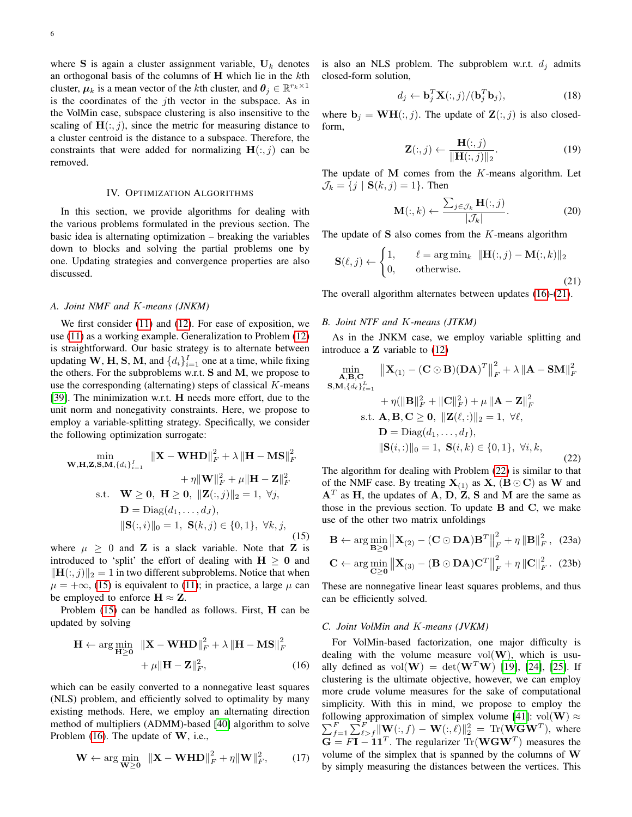where S is again a cluster assignment variable,  $U_k$  denotes an orthogonal basis of the columns of  $H$  which lie in the  $k$ th cluster,  $\mu_k$  is a mean vector of the *k*th cluster, and  $\theta_j \in \mathbb{R}^{r_k \times 1}$ is the coordinates of the jth vector in the subspace. As in the VolMin case, subspace clustering is also insensitive to the scaling of  $H(:, j)$ , since the metric for measuring distance to a cluster centroid is the distance to a subspace. Therefore, the constraints that were added for normalizing  $H(:, j)$  can be removed.

# IV. OPTIMIZATION ALGORITHMS

In this section, we provide algorithms for dealing with the various problems formulated in the previous section. The basic idea is alternating optimization – breaking the variables down to blocks and solving the partial problems one by one. Updating strategies and convergence properties are also discussed.

# *A. Joint NMF and* K*-means (JNKM)*

We first consider [\(11\)](#page-4-0) and [\(12\)](#page-4-2). For ease of exposition, we use [\(11\)](#page-4-0) as a working example. Generalization to Problem [\(12\)](#page-4-2) is straightforward. Our basic strategy is to alternate between updating W, H, S, M, and  $\{d_i\}_{i=1}^I$  one at a time, while fixing the others. For the subproblems w.r.t. S and M, we propose to use the corresponding (alternating) steps of classical  $K$ -means [\[39\]](#page-12-15). The minimization w.r.t. H needs more effort, due to the unit norm and nonegativity constraints. Here, we propose to employ a variable-splitting strategy. Specifically, we consider the following optimization surrogate:

<span id="page-5-0"></span>
$$
\begin{aligned}\n\min_{\mathbf{W}, \mathbf{H}, \mathbf{Z}, \mathbf{S}, \mathbf{M}, \{d_i\}_{i=1}^I} & \|\mathbf{X} - \mathbf{W} \mathbf{H} \mathbf{D}\|_F^2 + \lambda \|\mathbf{H} - \mathbf{M} \mathbf{S}\|_F^2 \\
&\quad + \eta \|\mathbf{W}\|_F^2 + \mu \|\mathbf{H} - \mathbf{Z}\|_F^2 \\
\text{s.t.} & \mathbf{W} \geq \mathbf{0}, \ \mathbf{H} \geq \mathbf{0}, \ \|\mathbf{Z}(:,j)\|_2 = 1, \ \forall j, \\
\mathbf{D} = \text{Diag}(d_1, \dots, d_J), \\
\|\mathbf{S}(:,i)\|_0 = 1, \ \mathbf{S}(k, j) \in \{0, 1\}, \ \forall k, j,\n\end{aligned}
$$
\n(15)

where  $\mu \geq 0$  and **Z** is a slack variable. Note that **Z** is introduced to 'split' the effort of dealing with  $H \ge 0$  and  $\|\mathbf{H}(:, j)\|_2 = 1$  in two different subproblems. Notice that when  $\mu = +\infty$ , [\(15\)](#page-5-0) is equivalent to [\(11\)](#page-4-0); in practice, a large  $\mu$  can be employed to enforce  $H \approx Z$ .

Problem [\(15\)](#page-5-0) can be handled as follows. First, H can be updated by solving

$$
\mathbf{H} \leftarrow \arg\min_{\mathbf{H} \geq \mathbf{0}} \|\mathbf{X} - \mathbf{W}\mathbf{H}\mathbf{D}\|_F^2 + \lambda \|\mathbf{H} - \mathbf{M}\mathbf{S}\|_F^2
$$
  
+  $\mu \|\mathbf{H} - \mathbf{Z}\|_F^2$ , (16)

which can be easily converted to a nonnegative least squares (NLS) problem, and efficiently solved to optimality by many existing methods. Here, we employ an alternating direction method of multipliers (ADMM)-based [\[40\]](#page-12-16) algorithm to solve Problem [\(16\)](#page-5-1). The update of W, i.e.,

$$
\mathbf{W} \leftarrow \arg\min_{\mathbf{W} \geq 0} \ \|\mathbf{X} - \mathbf{W}\mathbf{H}\mathbf{D}\|_F^2 + \eta \|\mathbf{W}\|_F^2, \qquad (17)
$$

is also an NLS problem. The subproblem w.r.t.  $d_i$  admits closed-form solution,

$$
d_j \leftarrow \mathbf{b}_j^T \mathbf{X}(:,j) / (\mathbf{b}_j^T \mathbf{b}_j),
$$
 (18)

where  $\mathbf{b}_j = \mathbf{WH}(:,j)$ . The update of  $\mathbf{Z}(:,j)$  is also closedform,

$$
\mathbf{Z}(:,j) \leftarrow \frac{\mathbf{H}(:,j)}{\|\mathbf{H}(:,j)\|_2}.\tag{19}
$$

The update of  $M$  comes from the  $K$ -means algorithm. Let  $\mathcal{J}_k = \{j \mid \mathbf{S}(k, j) = 1\}$ . Then

<span id="page-5-4"></span>
$$
\mathbf{M}(:,k) \leftarrow \frac{\sum_{j \in \mathcal{J}_k} \mathbf{H}(:,j)}{|\mathcal{J}_k|}.
$$
 (20)

The update of  $S$  also comes from the  $K$ -means algorithm

<span id="page-5-2"></span>
$$
\mathbf{S}(\ell,j) \leftarrow \begin{cases} 1, & \ell = \arg \min_k & \|\mathbf{H}(:,j) - \mathbf{M}(:,k)\|_2 \\ 0, & \text{otherwise.} \end{cases}
$$
(21)

The overall algorithm alternates between updates [\(16\)](#page-5-1)-[\(21\)](#page-5-2).

# *B. Joint NTF and* K*-means (JTKM)*

As in the JNKM case, we employ variable splitting and introduce a Z variable to [\(12\)](#page-4-2)

<span id="page-5-3"></span>
$$
\min_{\mathbf{A}, \mathbf{B}, \mathbf{C}} \| \mathbf{X}_{(1)} - (\mathbf{C} \odot \mathbf{B})(\mathbf{D}\mathbf{A})^T \|_F^2 + \lambda \| \mathbf{A} - \mathbf{S}\mathbf{M} \|_F^2
$$
  
\n
$$
\mathbf{s}, \mathbf{M}, \{d_{\ell}\}_{\ell=1}^L + \eta (\|\mathbf{B}\|_F^2 + \|\mathbf{C}\|_F^2) + \mu \| \mathbf{A} - \mathbf{Z} \|_F^2
$$
  
\ns.t.  $\mathbf{A}, \mathbf{B}, \mathbf{C} \geq \mathbf{0}, \| \mathbf{Z}(\ell, :) \|_2 = 1, \forall \ell,$   
\n $\mathbf{D} = \text{Diag}(d_1, ..., d_I),$   
\n $||\mathbf{S}(i, :)||_0 = 1, \ \mathbf{S}(i, k) \in \{0, 1\}, \ \forall i, k,$  (22)

The algorithm for dealing with Problem [\(22\)](#page-5-3) is similar to that of the NMF case. By treating  $X_{(1)}$  as  $X$ ,  $(B \odot C)$  as W and  $A<sup>T</sup>$  as H, the updates of A, D, Z, S and M are the same as those in the previous section. To update  $B$  and  $C$ , we make use of the other two matrix unfoldings

$$
\mathbf{B} \leftarrow \arg\min_{\mathbf{B}\geq\mathbf{0}} \left\| \mathbf{X}_{(2)} - (\mathbf{C} \odot \mathbf{D} \mathbf{A}) \mathbf{B}^T \right\|_F^2 + \eta \left\| \mathbf{B} \right\|_F^2, (23a)
$$

$$
\mathbf{C} \leftarrow \arg\min_{\mathbf{C}\geq\mathbf{0}} \left\| \mathbf{X}_{(3)} - (\mathbf{B} \odot \mathbf{D} \mathbf{A}) \mathbf{C}^T \right\|_F^2 + \eta \left\| \mathbf{C} \right\|_F^2. (23b)
$$

These are nonnegative linear least squares problems, and thus can be efficiently solved.

# *C. Joint VolMin and* K*-means (JVKM)*

<span id="page-5-1"></span>For VolMin-based factorization, one major difficulty is dealing with the volume measure  $vol(W)$ , which is usually defined as  $vol(\mathbf{W}) = det(\mathbf{W}^T \mathbf{W})$  [\[19\]](#page-11-14), [\[24\]](#page-12-1), [\[25\]](#page-12-17). If clustering is the ultimate objective, however, we can employ more crude volume measures for the sake of computational simplicity. With this in mind, we propose to employ the following approximation of simplex volume [\[41\]](#page-12-18):  $vol(\mathbf{W}) \approx$  $\sum_{f=1}^F \sum_{\ell>f}^F \|\mathbf{W}(:, f) - \mathbf{W}(:, \ell)\|_2^2 = \text{Tr}(\mathbf{W} \mathbf{G} \mathbf{W}^T)$ , where  $G = FI - I1<sup>T</sup>$ . The regularizer  $Tr(WGW<sup>T</sup>)$  measures the volume of the simplex that is spanned by the columns of W by simply measuring the distances between the vertices. This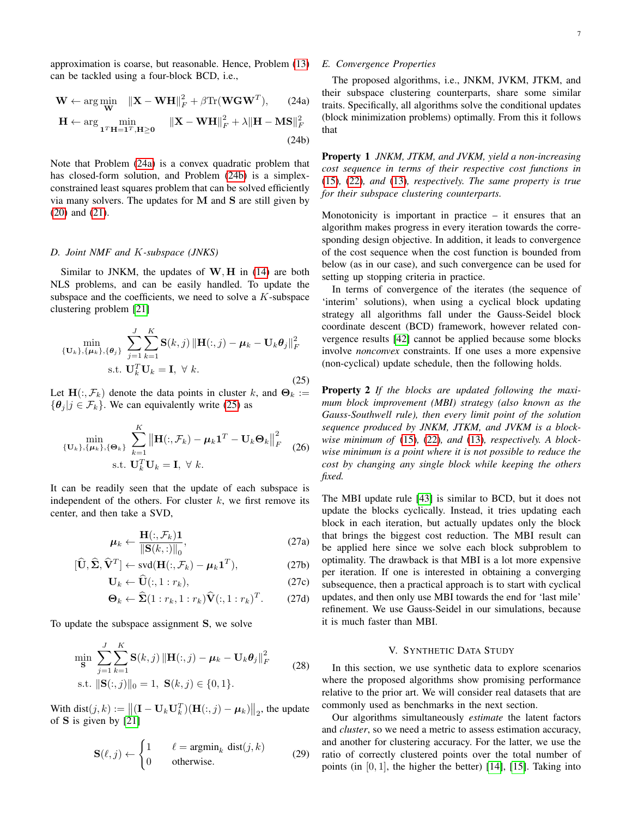approximation is coarse, but reasonable. Hence, Problem [\(13\)](#page-4-1) can be tackled using a four-block BCD, i.e.,

$$
\mathbf{W} \leftarrow \arg\min_{\mathbf{W}} \quad \|\mathbf{X} - \mathbf{W}\mathbf{H}\|_{F}^{2} + \beta \text{Tr}(\mathbf{W}\mathbf{G}\mathbf{W}^{T}), \qquad (24a)
$$

$$
\mathbf{H} \leftarrow \arg\min_{\mathbf{1}^T \mathbf{H} = \mathbf{1}^T, \mathbf{H} \ge 0} \qquad \|\mathbf{X} - \mathbf{W}\mathbf{H}\|_F^2 + \lambda \|\mathbf{H} - \mathbf{M}\mathbf{S}\|_F^2
$$
\n(24b)

Note that Problem [\(24a\)](#page-6-0) is a convex quadratic problem that has closed-form solution, and Problem [\(24b\)](#page-6-1) is a simplexconstrained least squares problem that can be solved efficiently via many solvers. The updates for  $M$  and  $S$  are still given by [\(20\)](#page-5-4) and [\(21\)](#page-5-2).

# *D. Joint NMF and* K*-subspace (JNKS)*

Similar to JNKM, the updates of  $W$ ,  $H$  in [\(14\)](#page-4-3) are both NLS problems, and can be easily handled. To update the subspace and the coefficients, we need to solve a  $K$ -subspace clustering problem [\[21\]](#page-11-16)

<span id="page-6-2"></span>
$$
\min_{\{\mathbf{U}_k\}, \{\boldsymbol{\mu}_k\}, \{\boldsymbol{\theta}_j\}} \sum_{j=1}^J \sum_{k=1}^K \mathbf{S}(k, j) \|\mathbf{H}(:, j) - \boldsymbol{\mu}_k - \mathbf{U}_k \boldsymbol{\theta}_j\|_F^2
$$
\n
$$
\text{s.t. } \mathbf{U}_k^T \mathbf{U}_k = \mathbf{I}, \ \forall \ k.
$$
\n(25)

Let  $\mathbf{H}(:, \mathcal{F}_k)$  denote the data points in cluster k, and  $\mathbf{\Theta}_k :=$  ${\theta_i | j \in \mathcal{F}_k}$ . We can equivalently write [\(25\)](#page-6-2) as

$$
\min_{\{\mathbf{U}_k\}, \{\boldsymbol{\mu}_k\}, \{\boldsymbol{\Theta}_k\}} \sum_{k=1}^K \left\| \mathbf{H}(:, \mathcal{F}_k) - \boldsymbol{\mu}_k \mathbf{1}^T - \mathbf{U}_k \boldsymbol{\Theta}_k \right\|_F^2
$$
\n s.t.

\n
$$
\mathbf{U}_k^T \mathbf{U}_k = \mathbf{I}, \ \forall \ k.
$$
\n(26)

It can be readily seen that the update of each subspace is independent of the others. For cluster  $k$ , we first remove its center, and then take a SVD,

$$
\mu_k \leftarrow \frac{\mathbf{H}(:, \mathcal{F}_k)\mathbf{1}}{\|\mathbf{S}(k, :)\|_0},\tag{27a}
$$

$$
[\widehat{\mathbf{U}}, \widehat{\boldsymbol{\Sigma}}, \widehat{\mathbf{V}}^T] \leftarrow \text{svd}(\mathbf{H}(:, \mathcal{F}_k) - \boldsymbol{\mu}_k \mathbf{1}^T), \tag{27b}
$$

$$
\mathbf{U}_k \leftarrow \mathbf{U}(:,1:r_k),\tag{27c}
$$

$$
\Theta_k \leftarrow \widehat{\Sigma} (1:r_k, 1:r_k) \widehat{\mathbf{V}}(:, 1:r_k)^T. \tag{27d}
$$

To update the subspace assignment S, we solve

$$
\min_{\mathbf{S}} \sum_{j=1}^{J} \sum_{k=1}^{K} \mathbf{S}(k, j) \|\mathbf{H}(:, j) - \boldsymbol{\mu}_{k} - \mathbf{U}_{k} \boldsymbol{\theta}_{j}\|_{F}^{2}
$$
\n
$$
\text{s.t. } \|\mathbf{S}(:, j)\|_{0} = 1, \ \mathbf{S}(k, j) \in \{0, 1\}. \tag{28}
$$

With dist(j, k) :=  $\left\| (\mathbf{I} - \mathbf{U}_k \mathbf{U}_k^T) (\mathbf{H}(:,j) - \boldsymbol{\mu}_k) \right\|_2$ , the update of S is given by [\[21\]](#page-11-16)

$$
\mathbf{S}(\ell,j) \leftarrow \begin{cases} 1 & \ell = \operatorname{argmin}_k \operatorname{dist}(j,k) \\ 0 & \text{otherwise.} \end{cases}
$$
 (29)

#### *E. Convergence Properties*

<span id="page-6-0"></span>The proposed algorithms, i.e., JNKM, JVKM, JTKM, and their subspace clustering counterparts, share some similar traits. Specifically, all algorithms solve the conditional updates (block minimization problems) optimally. From this it follows that

<span id="page-6-1"></span>Property 1 *JNKM, JTKM, and JVKM, yield a non-increasing cost sequence in terms of their respective cost functions in* [\(15\)](#page-5-0)*,* [\(22\)](#page-5-3)*, and* [\(13\)](#page-4-1)*, respectively. The same property is true for their subspace clustering counterparts.*

Monotonicity is important in practice  $-$  it ensures that an algorithm makes progress in every iteration towards the corresponding design objective. In addition, it leads to convergence of the cost sequence when the cost function is bounded from below (as in our case), and such convergence can be used for setting up stopping criteria in practice.

In terms of convergence of the iterates (the sequence of 'interim' solutions), when using a cyclical block updating strategy all algorithms fall under the Gauss-Seidel block coordinate descent (BCD) framework, however related convergence results [\[42\]](#page-12-19) cannot be applied because some blocks involve *nonconvex* constraints. If one uses a more expensive (non-cyclical) update schedule, then the following holds.

Property 2 *If the blocks are updated following the maximum block improvement (MBI) strategy (also known as the Gauss-Southwell rule), then every limit point of the solution sequence produced by JNKM, JTKM, and JVKM is a blockwise minimum of* [\(15\)](#page-5-0)*,* [\(22\)](#page-5-3)*, and* [\(13\)](#page-4-1)*, respectively. A blockwise minimum is a point where it is not possible to reduce the cost by changing any single block while keeping the others fixed.*

The MBI update rule [\[43\]](#page-12-20) is similar to BCD, but it does not update the blocks cyclically. Instead, it tries updating each block in each iteration, but actually updates only the block that brings the biggest cost reduction. The MBI result can be applied here since we solve each block subproblem to optimality. The drawback is that MBI is a lot more expensive per iteration. If one is interested in obtaining a converging subsequence, then a practical approach is to start with cyclical updates, and then only use MBI towards the end for 'last mile' refinement. We use Gauss-Seidel in our simulations, because it is much faster than MBI.

#### V. SYNTHETIC DATA STUDY

In this section, we use synthetic data to explore scenarios where the proposed algorithms show promising performance relative to the prior art. We will consider real datasets that are commonly used as benchmarks in the next section.

Our algorithms simultaneously *estimate* the latent factors and *cluster*, so we need a metric to assess estimation accuracy, and another for clustering accuracy. For the latter, we use the ratio of correctly clustered points over the total number of points (in  $[0, 1]$ , the higher the better)  $[14]$ ,  $[15]$ . Taking into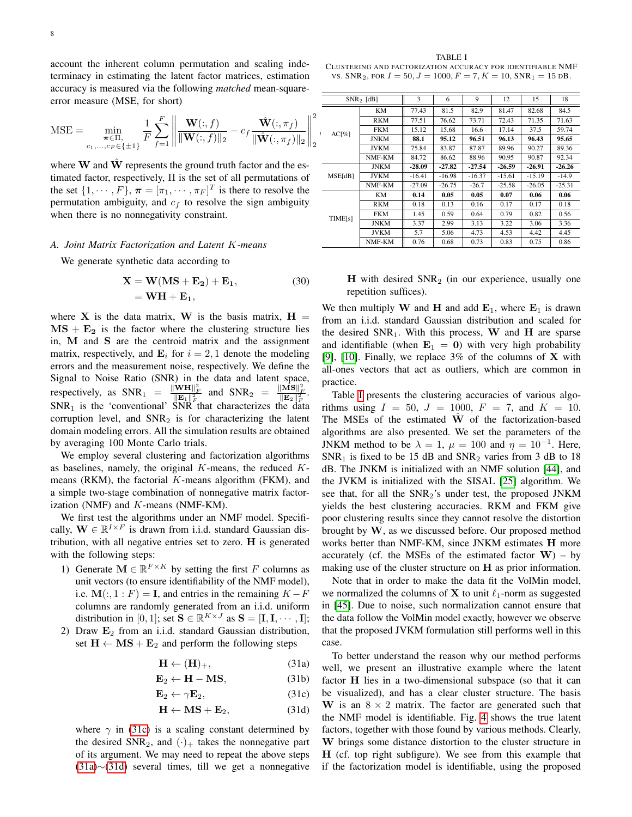account the inherent column permutation and scaling indeterminacy in estimating the latent factor matrices, estimation accuracy is measured via the following *matched* mean-squareerror measure (MSE, for short)

$$
\text{MSE} = \min_{\substack{\pi \in \Pi, \\ c_1, ..., c_F \in \{\pm 1\} }} \frac{1}{F} \sum_{f=1}^F \left\| \frac{\mathbf{W}(:, f)}{\|\mathbf{W}(:, f)\|_2} - c_f \frac{\hat{\mathbf{W}}(:, \pi_f)}{\|\hat{\mathbf{W}}(:, \pi_f)\|_2} \right\|^2_2
$$

where  $W$  and  $\hat{W}$  represents the ground truth factor and the estimated factor, respectively, Π is the set of all permutations of the set  $\{1, \dots, F\}$ ,  $\boldsymbol{\pi} = [\pi_1, \dots, \pi_F]^T$  is there to resolve the permutation ambiguity, and  $c_f$  to resolve the sign ambiguity when there is no nonnegativity constraint.

# *A. Joint Matrix Factorization and Latent* K*-means*

We generate synthetic data according to

$$
\mathbf{X} = \mathbf{W}(\mathbf{MS} + \mathbf{E}_2) + \mathbf{E}_1,
$$
  
= \mathbf{W}\mathbf{H} + \mathbf{E}\_1, (30)

where X is the data matrix, W is the basis matrix,  $H =$  $MS + E_2$  is the factor where the clustering structure lies in, M and S are the centroid matrix and the assignment matrix, respectively, and  $\mathbf{E}_i$  for  $i = 2, 1$  denote the modeling errors and the measurement noise, respectively. We define the Signal to Noise Ratio (SNR) in the data and latent space, respectively, as  $SNR_1 = \frac{\|\mathbf{W}\mathbf{H}\|_F^2}{\|\mathbf{E}_1\|_F^2}$  and  $SNR_2 = \frac{\|\mathbf{M}\mathbf{S}\|_F^2}{\|\mathbf{E}_2\|_F^2}$ .  $SNR<sub>1</sub>$  is the 'conventional'  $SNR<sub>1</sub>$  that characterizes the data corruption level, and  $SNR<sub>2</sub>$  is for characterizing the latent domain modeling errors. All the simulation results are obtained by averaging 100 Monte Carlo trials.

We employ several clustering and factorization algorithms as baselines, namely, the original  $K$ -means, the reduced  $K$ means (RKM), the factorial  $K$ -means algorithm (FKM), and a simple two-stage combination of nonnegative matrix factorization (NMF) and  $K$ -means (NMF-KM).

We first test the algorithms under an NMF model. Specifically,  $\mathbf{W} \in \mathbb{R}^{I \times F}$  is drawn from i.i.d. standard Gaussian distribution, with all negative entries set to zero. H is generated with the following steps:

- 1) Generate  $\mathbf{M} \in \mathbb{R}^{F \times K}$  by setting the first F columns as unit vectors (to ensure identifiability of the NMF model), i.e.  $\mathbf{M}(:, 1 : F) = \mathbf{I}$ , and entries in the remaining  $K - F$ columns are randomly generated from an i.i.d. uniform distribution in [0, 1]; set  $\mathbf{S} \in \mathbb{R}^{K \times J}$  as  $\mathbf{S} = [\mathbf{I}, \mathbf{I}, \cdots, \mathbf{I}]$ ;
- 2) Draw  $\mathbf{E}_2$  from an i.i.d. standard Gaussian distribution, set  $H \leftarrow MS + E_2$  and perform the following steps

$$
\mathbf{H} \leftarrow (\mathbf{H})_+, \tag{31a}
$$

$$
\mathbf{E}_2 \leftarrow \mathbf{H} - \mathbf{MS},\tag{31b}
$$

$$
\mathbf{E}_2 \leftarrow \gamma \mathbf{E}_2, \tag{31c}
$$

$$
\mathbf{H} \leftarrow \mathbf{MS} + \mathbf{E}_2, \tag{31d}
$$

where  $\gamma$  in [\(31c\)](#page-7-0) is a scaling constant determined by the desired SNR<sub>2</sub>, and  $(\cdot)_+$  takes the nonnegative part of its argument. We may need to repeat the above steps [\(31a\)](#page-7-1)∼[\(31d\)](#page-7-2) several times, till we get a nonnegative

<span id="page-7-3"></span>TABLE I CLUSTERING AND FACTORIZATION ACCURACY FOR IDENTIFIABLE NMF VS. SNR<sub>2</sub>, FOR  $I = 50, J = 1000, F = 7, K = 10, SNR<sub>1</sub> = 15$  DB.

|                         | $SNR_2$ [dB] |          | 6        | 9        | 12       | 15       | 18       |
|-------------------------|--------------|----------|----------|----------|----------|----------|----------|
|                         | KM           | 77.43    | 81.5     | 82.9     | 81.47    | 82.68    | 84.5     |
|                         | <b>RKM</b>   | 77.51    | 76.62    | 73.71    | 72.43    | 71.35    | 71.63    |
| AC[%]<br>$\overline{ }$ | FKM          | 15.12    | 15.68    | 16.6     | 17.14    | 37.5     | 59.74    |
|                         | JNKM         | 88.1     | 95.12    | 96.51    | 96.13    | 96.43    | 95.65    |
|                         | JVKM         | 75.84    | 83.87    | 87.87    | 89.96    | 90.27    | 89.36    |
|                         | NMF-KM       | 84.72    | 86.62    | 88.96    | 90.95    | 90.87    | 92.34    |
|                         | <b>JNKM</b>  | $-28.09$ | -27.82   | $-27.54$ | $-26.59$ | -26.91   | $-26.26$ |
| MSE[dB]                 | JVKM         | $-16.41$ | $-16.98$ | $-16.37$ | $-15.61$ | $-15.19$ | $-14.9$  |
|                         | NMF-KM       | $-27.09$ | $-26.75$ | $-26.7$  | $-25.58$ | $-26.05$ | $-25.31$ |
|                         | KМ           | 0.14     | 0.05     | 0.05     | 0.07     | 0.06     | 0.06     |
|                         | <b>RKM</b>   | 0.18     | 0.13     | 0.16     | 0.17     | 0.17     | 0.18     |
| TIME[s]                 | <b>FKM</b>   | 1.45     | 0.59     | 0.64     | 0.79     | 0.82     | 0.56     |
|                         | <b>JNKM</b>  | 3.37     | 2.99     | 3.13     | 3.22     | 3.06     | 3.36     |
|                         | <b>JVKM</b>  | 5.7      | 5.06     | 4.73     | 4.53     | 4.42     | 4.45     |
|                         | NMF-KM       | 0.76     | 0.68     | 0.73     | 0.83     | 0.75     | 0.86     |

 $H$  with desired  $SNR<sub>2</sub>$  (in our experience, usually one repetition suffices).

We then multiply W and H and add  $E_1$ , where  $E_1$  is drawn from an i.i.d. standard Gaussian distribution and scaled for the desired  $SNR_1$ . With this process, W and H are sparse and identifiable (when  $E_1 = 0$ ) with very high probability [\[9\]](#page-11-5), [\[10\]](#page-11-6). Finally, we replace  $3\%$  of the columns of X with all-ones vectors that act as outliers, which are common in practice.

Table [I](#page-7-3) presents the clustering accuracies of various algorithms using  $I = 50$ ,  $J = 1000$ ,  $F = 7$ , and  $K = 10$ . The MSEs of the estimated  $\bf{W}$  of the factorization-based algorithms are also presented. We set the parameters of the JNKM method to be  $\lambda = 1$ ,  $\mu = 100$  and  $\eta = 10^{-1}$ . Here,  $SNR_1$  is fixed to be 15 dB and  $SNR_2$  varies from 3 dB to 18 dB. The JNKM is initialized with an NMF solution [\[44\]](#page-12-21), and the JVKM is initialized with the SISAL [\[25\]](#page-12-17) algorithm. We see that, for all the SNR2's under test, the proposed JNKM yields the best clustering accuracies. RKM and FKM give poor clustering results since they cannot resolve the distortion brought by  $W$ , as we discussed before. Our proposed method works better than NMF-KM, since JNKM estimates H more accurately (cf. the MSEs of the estimated factor  $W$ ) – by making use of the cluster structure on H as prior information.

Note that in order to make the data fit the VolMin model, we normalized the columns of **X** to unit  $\ell_1$ -norm as suggested in [\[45\]](#page-12-22). Due to noise, such normalization cannot ensure that the data follow the VolMin model exactly, however we observe that the proposed JVKM formulation still performs well in this case.

<span id="page-7-2"></span><span id="page-7-1"></span><span id="page-7-0"></span>To better understand the reason why our method performs well, we present an illustrative example where the latent factor H lies in a two-dimensional subspace (so that it can be visualized), and has a clear cluster structure. The basis W is an  $8 \times 2$  matrix. The factor are generated such that the NMF model is identifiable. Fig. [4](#page-8-0) shows the true latent factors, together with those found by various methods. Clearly, W brings some distance distortion to the cluster structure in H (cf. top right subfigure). We see from this example that if the factorization model is identifiable, using the proposed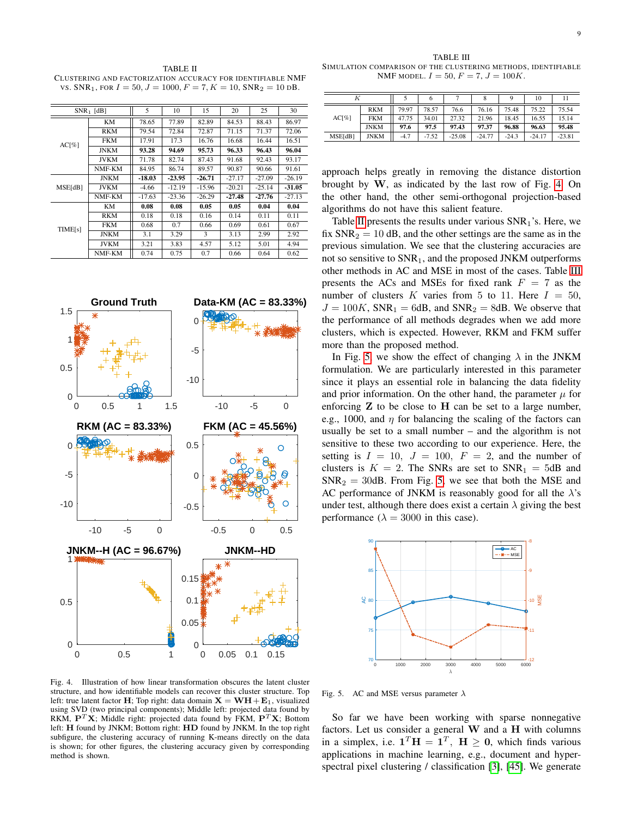<span id="page-8-1"></span>

|         | $SNR_1$ [dB] | 5        | 10       | 15       | 20       | 25       | 30       |
|---------|--------------|----------|----------|----------|----------|----------|----------|
|         | KM           | 78.65    | 77.89    | 82.89    | 84.53    | 88.43    | 86.97    |
|         | RKM          | 79.54    | 72.84    | 72.87    | 71.15    | 71.37    | 72.06    |
| AC[%]   | <b>FKM</b>   | 17.91    | 17.3     | 16.76    | 16.68    | 16.44    | 16.51    |
|         | <b>JNKM</b>  | 93.28    | 94.69    | 95.73    | 96.33    | 96.43    | 96.04    |
|         | <b>JVKM</b>  | 71.78    | 82.74    | 87.43    | 91.68    | 92.43    | 93.17    |
|         | NMF-KM       | 84.95    | 86.74    | 89.57    | 90.87    | 90.66    | 91.61    |
|         | <b>JNKM</b>  | $-18.03$ | -23.95   | -26.71   | $-27.17$ | $-27.09$ | $-26.19$ |
| MSE[dB] | JVKM         | $-4.66$  | $-12.19$ | $-15.96$ | $-20.21$ | $-25.14$ | -31.05   |
|         | NMF-KM       | $-17.63$ | $-23.36$ | $-26.29$ | $-27.48$ | $-27.76$ | $-27.13$ |
|         | KM           | 0.08     | 0.08     | 0.05     | 0.05     | 0.04     | 0.04     |
|         | RKM          | 0.18     | 0.18     | 0.16     | 0.14     | 0.11     | 0.11     |
| TIME[s] | <b>FKM</b>   | 0.68     | 0.7      | 0.66     | 0.69     | 0.61     | 0.67     |
|         | <b>JNKM</b>  | 3.1      | 3.29     | 3        | 3.13     | 2.99     | 2.92     |
|         | <b>JVKM</b>  | 3.21     | 3.83     | 4.57     | 5.12     | 5.01     | 4.94     |
|         | NMF-KM       | 0.74     | 0.75     | 0.7      | 0.66     | 0.64     | 0.62     |



<span id="page-8-2"></span>TABLE III SIMULATION COMPARISON OF THE CLUSTERING METHODS, IDENTIFIABLE NMF MODEL.  $I = 50, F = 7, J = 100K$ .

|         |             |        | 6       |          | 8        |         | 10       |          |
|---------|-------------|--------|---------|----------|----------|---------|----------|----------|
|         | <b>RKM</b>  | 79.97  | 78.57   | 76.6     | 76.16    | 75.48   | 75.22    | 75.54    |
| AC[%]   | <b>FKM</b>  | 47.75  | 34.01   | 27.32    | 21.96    | 18.45   | 16.55    | 15.14    |
|         | <b>JNKM</b> | 97.6   | 97.5    | 97.43    | 97.37    | 96.88   | 96.63    | 95.48    |
| MSE[dB] | <b>JNKM</b> | $-4.7$ | $-7.52$ | $-25.08$ | $-24.77$ | $-24.3$ | $-24.17$ | $-23.81$ |

approach helps greatly in removing the distance distortion brought by W, as indicated by the last row of Fig. [4.](#page-8-0) On the other hand, the other semi-orthogonal projection-based algorithms do not have this salient feature.

Table [II](#page-8-1) presents the results under various  $SNR<sub>1</sub>$ 's. Here, we fix  $SNR_2 = 10$  dB, and the other settings are the same as in the previous simulation. We see that the clustering accuracies are not so sensitive to  $SNR_1$ , and the proposed JNKM outperforms other methods in AC and MSE in most of the cases. Table [III](#page-8-2) presents the ACs and MSEs for fixed rank  $F = 7$  as the number of clusters K varies from 5 to 11. Here  $I = 50$ ,  $J = 100K$ , SNR<sub>1</sub> = 6dB, and SNR<sub>2</sub> = 8dB. We observe that the performance of all methods degrades when we add more clusters, which is expected. However, RKM and FKM suffer more than the proposed method.

In Fig. [5,](#page-8-3) we show the effect of changing  $\lambda$  in the JNKM formulation. We are particularly interested in this parameter since it plays an essential role in balancing the data fidelity and prior information. On the other hand, the parameter  $\mu$  for enforcing  $Z$  to be close to  $H$  can be set to a large number, e.g., 1000, and  $\eta$  for balancing the scaling of the factors can usually be set to a small number – and the algorithm is not sensitive to these two according to our experience. Here, the setting is  $I = 10$ ,  $J = 100$ ,  $F = 2$ , and the number of clusters is  $K = 2$ . The SNRs are set to SNR<sub>1</sub> = 5dB and  $SNR_2 = 30$ dB. From Fig. [5,](#page-8-3) we see that both the MSE and AC performance of JNKM is reasonably good for all the  $\lambda$ 's under test, although there does exist a certain  $\lambda$  giving the best performance ( $\lambda = 3000$  in this case).



<span id="page-8-0"></span>Fig. 4. Illustration of how linear transformation obscures the latent cluster structure, and how identifiable models can recover this cluster structure. Top left: true latent factor **H**; Top right: data domain  $X = WH + E_1$ , visualized using SVD (two principal components); Middle left: projected data found by RKM,  $\mathbf{P}^T \mathbf{X}$ ; Middle right: projected data found by FKM,  $\mathbf{P}^T \mathbf{X}$ ; Bottom left: H found by JNKM; Bottom right: HD found by JNKM. In the top right subfigure, the clustering accuracy of running K-means directly on the data is shown; for other figures, the clustering accuracy given by corresponding method is shown.

<span id="page-8-3"></span>Fig. 5. AC and MSE versus parameter  $\lambda$ 

So far we have been working with sparse nonnegative factors. Let us consider a general  $W$  and a  $H$  with columns in a simplex, i.e.  $\mathbf{1}^T \mathbf{H} = \mathbf{1}^T$ ,  $\mathbf{H} \geq 0$ , which finds various applications in machine learning, e.g., document and hyperspectral pixel clustering / classification [\[3\]](#page-11-1), [\[45\]](#page-12-22). We generate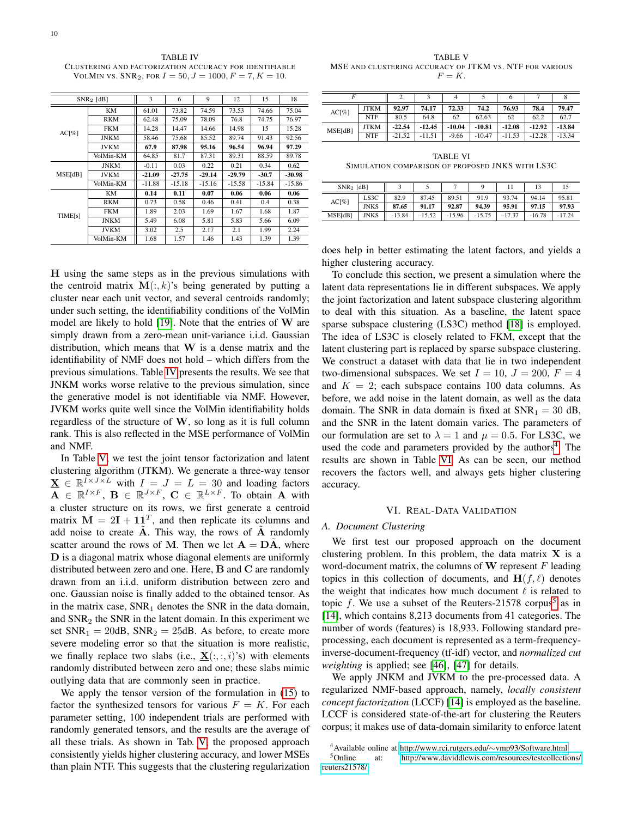<span id="page-9-0"></span>TABLE IV CLUSTERING AND FACTORIZATION ACCURACY FOR IDENTIFIABLE VOLMIN VS. SNR<sub>2</sub>, FOR  $I = 50, J = 1000, F = 7, K = 10$ .

|         | $SNR_2$ [dB] | 3        | 6        | 9        | 12       | 15       | 18       |
|---------|--------------|----------|----------|----------|----------|----------|----------|
|         | <b>KM</b>    | 61.01    | 73.82    | 74.59    | 73.53    | 74.66    | 75.04    |
|         | RKM          | 62.48    | 75.09    | 78.09    | 76.8     | 74.75    | 76.97    |
| AC[%]   | <b>FKM</b>   | 14.28    | 14.47    | 14.66    | 14.98    | 15       | 15.28    |
|         | <b>JNKM</b>  | 58.46    | 75.68    | 85.52    | 89.74    | 91.43    | 92.56    |
|         | <b>JVKM</b>  | 67.9     | 87.98    | 95.16    | 96.54    | 96.94    | 97.29    |
|         | VolMin-KM    | 64.85    | 81.7     | 87.31    | 89.31    | 88.59    | 89.78    |
|         | <b>JNKM</b>  | $-0.11$  | 0.03     | 0.22     | 0.21     | 0.34     | 0.62     |
| MSE[dB] | <b>JVKM</b>  | $-21.09$ | $-27.75$ | $-29.14$ | -29.79   | $-30.7$  | $-30.98$ |
|         | VolMin-KM    | $-11.88$ | $-15.18$ | $-15.16$ | $-15.58$ | $-15.84$ | $-15.86$ |
|         | KМ           | 0.14     | 0.11     | 0.07     | 0.06     | 0.06     | 0.06     |
|         | RKM          | 0.73     | 0.58     | 0.46     | 0.41     | 0.4      | 0.38     |
| TIME[s] | <b>FKM</b>   | 1.89     | 2.03     | 1.69     | 1.67     | 1.68     | 1.87     |
|         | <b>JNKM</b>  | 5.49     | 6.08     | 5.81     | 5.83     | 5.66     | 6.09     |
|         | <b>JVKM</b>  | 3.02     | 2.5      | 2.17     | 2.1      | 1.99     | 2.24     |
|         | VolMin-KM    | 1.68     | 1.57     | 1.46     | 1.43     | 1.39     | 1.39     |

H using the same steps as in the previous simulations with the centroid matrix  $M(:, k)$ 's being generated by putting a cluster near each unit vector, and several centroids randomly; under such setting, the identifiability conditions of the VolMin model are likely to hold [\[19\]](#page-11-14). Note that the entries of  $W$  are simply drawn from a zero-mean unit-variance i.i.d. Gaussian distribution, which means that  $W$  is a dense matrix and the identifiability of NMF does not hold – which differs from the previous simulations. Table [IV](#page-9-0) presents the results. We see that JNKM works worse relative to the previous simulation, since the generative model is not identifiable via NMF. However, JVKM works quite well since the VolMin identifiability holds regardless of the structure of  $W$ , so long as it is full column rank. This is also reflected in the MSE performance of VolMin and NMF.

In Table [V,](#page-9-1) we test the joint tensor factorization and latent clustering algorithm (JTKM). We generate a three-way tensor  $\underline{\mathbf{X}} \in \mathbb{R}^{I \times J \times L}$  with  $I = J = L = 30$  and loading factors  $\mathbf{A} \in \mathbb{R}^{I \times F}$ ,  $\mathbf{B} \in \mathbb{R}^{J \times F}$ ,  $\mathbf{C} \in \mathbb{R}^{L \times F}$ . To obtain  $\mathbf{A}$  with a cluster structure on its rows, we first generate a centroid matrix  $M = 2I + 11<sup>T</sup>$ , and then replicate its columns and add noise to create  $\ddot{A}$ . This way, the rows of  $\ddot{A}$  randomly scatter around the rows of M. Then we let  $A = DA$ , where D is a diagonal matrix whose diagonal elements are uniformly distributed between zero and one. Here, B and C are randomly drawn from an i.i.d. uniform distribution between zero and one. Gaussian noise is finally added to the obtained tensor. As in the matrix case,  $SNR_1$  denotes the SNR in the data domain, and  $SNR<sub>2</sub>$  the SNR in the latent domain. In this experiment we set  $SNR_1 = 20dB$ ,  $SNR_2 = 25dB$ . As before, to create more severe modeling error so that the situation is more realistic, we finally replace two slabs (i.e.,  $X(:, :, i)$ 's) with elements randomly distributed between zero and one; these slabs mimic outlying data that are commonly seen in practice.

We apply the tensor version of the formulation in [\(15\)](#page-5-0) to factor the synthesized tensors for various  $F = K$ . For each parameter setting, 100 independent trials are performed with randomly generated tensors, and the results are the average of all these trials. As shown in Tab. [V,](#page-9-1) the proposed approach consistently yields higher clustering accuracy, and lower MSEs than plain NTF. This suggests that the clustering regularization

<span id="page-9-1"></span>TABLE V MSE AND CLUSTERING ACCURACY OF JTKM VS. NTF FOR VARIOUS  $F = K$ .

| AC[%]   | <b>JTKM</b> | 92.97    | 74.17    | 72.33    | 74.2     | 76.93    | 78.4     | 79.47    |
|---------|-------------|----------|----------|----------|----------|----------|----------|----------|
|         | <b>NTF</b>  | 80.5     | 64.8     | 62       | 62.63    | 62       | 62.2     | 62.7     |
| MSE[dB] | <b>JTKM</b> | $-22.54$ | $-12.45$ | $-10.04$ | $-10.81$ | $-12.08$ | $-12.92$ | $-13.84$ |
|         | <b>NTF</b>  | $-21.52$ | $-11.51$ | $-9.66$  | $-10.47$ | $-11.53$ | $-12.28$ | $-13.34$ |

TABLE VI SIMULATION COMPARISON OF PROPOSED JNKS WITH LS3C

<span id="page-9-3"></span>

| $SNR_2$ [dB] |                   |          |          |          |          |          |          |          |
|--------------|-------------------|----------|----------|----------|----------|----------|----------|----------|
| AC[%]        | LS <sub>3</sub> C | 82.9     | 87.45    | 89.51    | 91.9     | 93.74    | 94.14    | 95.81    |
|              | <b>JNKS</b>       | 87.65    | 91.17    | 92.87    | 94.39    | 95.91    | 97.15    | 97.93    |
| MSE[dB]      | <b>JNKS</b>       | $-13.84$ | $-15.52$ | $-15.96$ | $-15.75$ | $-17.37$ | $-16.78$ | $-17.24$ |

does help in better estimating the latent factors, and yields a higher clustering accuracy.

To conclude this section, we present a simulation where the latent data representations lie in different subspaces. We apply the joint factorization and latent subspace clustering algorithm to deal with this situation. As a baseline, the latent space sparse subspace clustering (LS3C) method [\[18\]](#page-11-13) is employed. The idea of LS3C is closely related to FKM, except that the latent clustering part is replaced by sparse subspace clustering. We construct a dataset with data that lie in two independent two-dimensional subspaces. We set  $I = 10$ ,  $J = 200$ ,  $F = 4$ and  $K = 2$ ; each subspace contains 100 data columns. As before, we add noise in the latent domain, as well as the data domain. The SNR in data domain is fixed at  $SNR_1 = 30$  dB, and the SNR in the latent domain varies. The parameters of our formulation are set to  $\lambda = 1$  and  $\mu = 0.5$ . For LS3C, we used the code and parameters provided by the authors<sup>[4](#page-9-2)</sup>. The results are shown in Table [VI.](#page-9-3) As can be seen, our method recovers the factors well, and always gets higher clustering accuracy.

# VI. REAL-DATA VALIDATION

# *A. Document Clustering*

We first test our proposed approach on the document clustering problem. In this problem, the data matrix  $X$  is a word-document matrix, the columns of  $W$  represent  $F$  leading topics in this collection of documents, and  $H(f, \ell)$  denotes the weight that indicates how much document  $\ell$  is related to topic  $f$ . We use a subset of the Reuters-21[5](#page-9-4)78 corpus<sup>5</sup> as in [\[14\]](#page-11-9), which contains 8,213 documents from 41 categories. The number of words (features) is 18,933. Following standard preprocessing, each document is represented as a term-frequencyinverse-document-frequency (tf-idf) vector, and *normalized cut weighting* is applied; see [\[46\]](#page-12-23), [\[47\]](#page-12-24) for details.

We apply JNKM and JVKM to the pre-processed data. A regularized NMF-based approach, namely, *locally consistent concept factorization* (LCCF) [\[14\]](#page-11-9) is employed as the baseline. LCCF is considered state-of-the-art for clustering the Reuters corpus; it makes use of data-domain similarity to enforce latent

<span id="page-9-4"></span><span id="page-9-2"></span><sup>4</sup>Available online at [http://www.rci.rutgers.edu/](http://www.rci.rutgers.edu/~vmp93/Software.html)∼vmp93/Software.html <sup>5</sup>Online at: [http://www.daviddlewis.com/resources/testcollections/](http://www.daviddlewis.com/resources/testcollections/reuters21578/) [reuters21578/](http://www.daviddlewis.com/resources/testcollections/reuters21578/)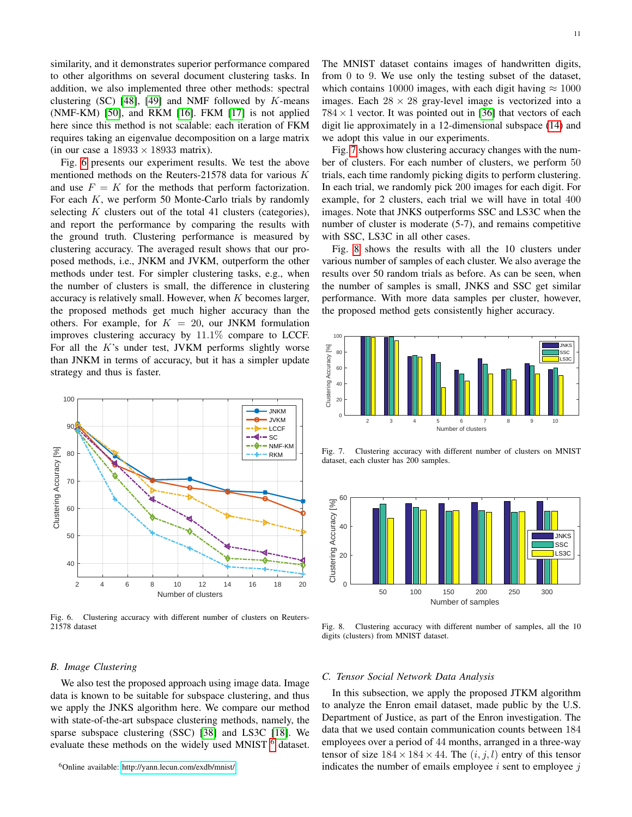similarity, and it demonstrates superior performance compared to other algorithms on several document clustering tasks. In addition, we also implemented three other methods: spectral clustering (SC) [\[48\]](#page-12-25), [\[49\]](#page-12-26) and NMF followed by  $K$ -means (NMF-KM) [\[50\]](#page-12-27), and RKM [\[16\]](#page-11-11). FKM [\[17\]](#page-11-12) is not applied here since this method is not scalable: each iteration of FKM requires taking an eigenvalue decomposition on a large matrix (in our case a  $18933 \times 18933$  matrix).

Fig. [6](#page-10-0) presents our experiment results. We test the above mentioned methods on the Reuters-21578 data for various K and use  $F = K$  for the methods that perform factorization. For each  $K$ , we perform 50 Monte-Carlo trials by randomly selecting  $K$  clusters out of the total 41 clusters (categories), and report the performance by comparing the results with the ground truth. Clustering performance is measured by clustering accuracy. The averaged result shows that our proposed methods, i.e., JNKM and JVKM, outperform the other methods under test. For simpler clustering tasks, e.g., when the number of clusters is small, the difference in clustering accuracy is relatively small. However, when K becomes larger, the proposed methods get much higher accuracy than the others. For example, for  $K = 20$ , our JNKM formulation improves clustering accuracy by 11.1% compare to LCCF. For all the  $K$ 's under test, JVKM performs slightly worse than JNKM in terms of accuracy, but it has a simpler update strategy and thus is faster.



<span id="page-10-0"></span>Fig. 6. Clustering accuracy with different number of clusters on Reuters-21578 dataset

#### *B. Image Clustering*

We also test the proposed approach using image data. Image data is known to be suitable for subspace clustering, and thus we apply the JNKS algorithm here. We compare our method with state-of-the-art subspace clustering methods, namely, the sparse subspace clustering (SSC) [\[38\]](#page-12-14) and LS3C [\[18\]](#page-11-13). We evaluate these methods on the widely used MNIST  $<sup>6</sup>$  $<sup>6</sup>$  $<sup>6</sup>$  dataset.</sup> The MNIST dataset contains images of handwritten digits, from 0 to 9. We use only the testing subset of the dataset, which contains 10000 images, with each digit having  $\approx 1000$ images. Each  $28 \times 28$  gray-level image is vectorized into a  $784 \times 1$  vector. It was pointed out in [\[36\]](#page-12-12) that vectors of each digit lie approximately in a 12-dimensional subspace [\(14\)](#page-4-3) and we adopt this value in our experiments.

Fig. [7](#page-10-2) shows how clustering accuracy changes with the number of clusters. For each number of clusters, we perform 50 trials, each time randomly picking digits to perform clustering. In each trial, we randomly pick 200 images for each digit. For example, for 2 clusters, each trial we will have in total 400 images. Note that JNKS outperforms SSC and LS3C when the number of cluster is moderate (5-7), and remains competitive with SSC, LS3C in all other cases.

Fig. [8](#page-10-3) shows the results with all the 10 clusters under various number of samples of each cluster. We also average the results over 50 random trials as before. As can be seen, when the number of samples is small, JNKS and SSC get similar performance. With more data samples per cluster, however, the proposed method gets consistently higher accuracy.



<span id="page-10-2"></span>Fig. 7. Clustering accuracy with different number of clusters on MNIST dataset, each cluster has 200 samples.



<span id="page-10-3"></span>Fig. 8. Clustering accuracy with different number of samples, all the 10 digits (clusters) from MNIST dataset.

#### *C. Tensor Social Network Data Analysis*

In this subsection, we apply the proposed JTKM algorithm to analyze the Enron email dataset, made public by the U.S. Department of Justice, as part of the Enron investigation. The data that we used contain communication counts between 184 employees over a period of 44 months, arranged in a three-way tensor of size  $184 \times 184 \times 44$ . The  $(i, j, l)$  entry of this tensor indicates the number of emails employee  $i$  sent to employee  $j$ 

<span id="page-10-1"></span><sup>6</sup>Online available:<http://yann.lecun.com/exdb/mnist/>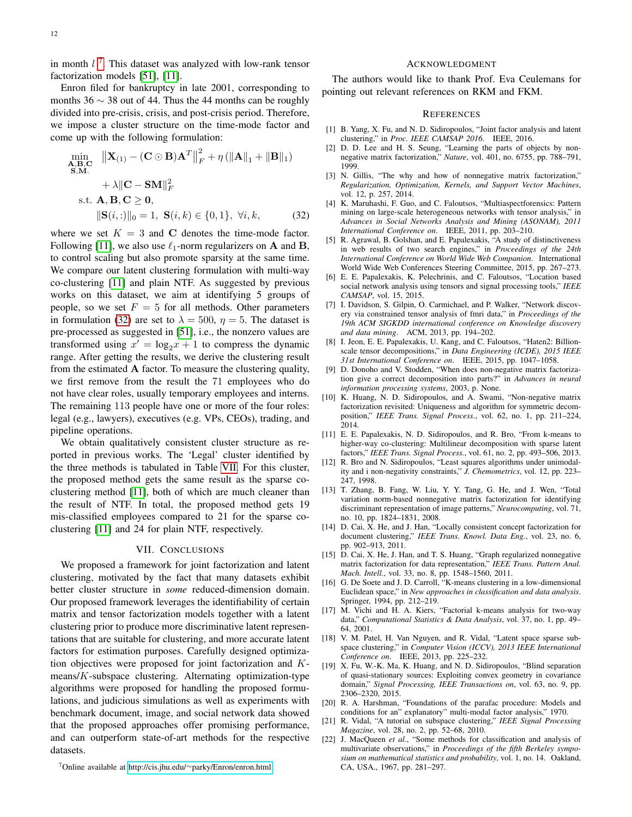in month  $l<sup>7</sup>$  $l<sup>7</sup>$  $l<sup>7</sup>$ . This dataset was analyzed with low-rank tensor factorization models [\[51\]](#page-12-28), [\[11\]](#page-11-7).

Enron filed for bankruptcy in late 2001, corresponding to months 36  $\sim$  38 out of 44. Thus the 44 months can be roughly divided into pre-crisis, crisis, and post-crisis period. Therefore, we impose a cluster structure on the time-mode factor and come up with the following formulation:

$$
\min_{\mathbf{A}, \mathbf{B}, \mathbf{C}} \|\mathbf{X}_{(1)} - (\mathbf{C} \odot \mathbf{B})\mathbf{A}^T\|_F^2 + \eta (\|\mathbf{A}\|_1 + \|\mathbf{B}\|_1)
$$
  
\n
$$
+ \lambda \|\mathbf{C} - \mathbf{S}\mathbf{M}\|_F^2
$$
  
\n
$$
\text{s.t. } \mathbf{A}, \mathbf{B}, \mathbf{C} \ge \mathbf{0},
$$
  
\n
$$
\|\mathbf{S}(i, :)\|_0 = 1, \ \mathbf{S}(i, k) \in \{0, 1\}, \ \forall i, k,
$$
 (32)

where we set  $K = 3$  and C denotes the time-mode factor. Following [\[11\]](#page-11-7), we also use  $\ell_1$ -norm regularizers on **A** and **B**, to control scaling but also promote sparsity at the same time. We compare our latent clustering formulation with multi-way co-clustering [\[11\]](#page-11-7) and plain NTF. As suggested by previous works on this dataset, we aim at identifying 5 groups of people, so we set  $F = 5$  for all methods. Other parameters in formulation [\(32\)](#page-11-19) are set to  $\lambda = 500$ ,  $\eta = 5$ . The dataset is pre-processed as suggested in [\[51\]](#page-12-28), i.e., the nonzero values are transformed using  $x' = \log_2 x + 1$  to compress the dynamic range. After getting the results, we derive the clustering result from the estimated A factor. To measure the clustering quality, we first remove from the result the 71 employees who do not have clear roles, usually temporary employees and interns. The remaining 113 people have one or more of the four roles: legal (e.g., lawyers), executives (e.g. VPs, CEOs), trading, and pipeline operations.

We obtain qualitatively consistent cluster structure as reported in previous works. The 'Legal' cluster identified by the three methods is tabulated in Table [VII.](#page-12-29) For this cluster, the proposed method gets the same result as the sparse coclustering method [\[11\]](#page-11-7), both of which are much cleaner than the result of NTF. In total, the proposed method gets 19 mis-classified employees compared to 21 for the sparse coclustering [\[11\]](#page-11-7) and 24 for plain NTF, respectively.

# VII. CONCLUSIONS

We proposed a framework for joint factorization and latent clustering, motivated by the fact that many datasets exhibit better cluster structure in *some* reduced-dimension domain. Our proposed framework leverages the identifiability of certain matrix and tensor factorization models together with a latent clustering prior to produce more discriminative latent representations that are suitable for clustering, and more accurate latent factors for estimation purposes. Carefully designed optimization objectives were proposed for joint factorization and Kmeans/K-subspace clustering. Alternating optimization-type algorithms were proposed for handling the proposed formulations, and judicious simulations as well as experiments with benchmark document, image, and social network data showed that the proposed approaches offer promising performance, and can outperform state-of-art methods for the respective datasets.

<span id="page-11-18"></span><sup>7</sup>Online available at http://cis.jhu.edu/∼[parky/Enron/enron.html](http://cis.jhu.edu/~parky/Enron/enron.html)

#### ACKNOWLEDGMENT

The authors would like to thank Prof. Eva Ceulemans for pointing out relevant references on RKM and FKM.

#### **REFERENCES**

- <span id="page-11-4"></span>[1] B. Yang, X. Fu, and N. D. Sidiropoulos, "Joint factor analysis and latent clustering," in *Proc. IEEE CAMSAP 2016*. IEEE, 2016.
- <span id="page-11-0"></span>[2] D. D. Lee and H. S. Seung, "Learning the parts of objects by nonnegative matrix factorization," *Nature*, vol. 401, no. 6755, pp. 788–791, 1999.
- <span id="page-11-1"></span>[3] N. Gillis, "The why and how of nonnegative matrix factorization," *Regularization, Optimization, Kernels, and Support Vector Machines*, vol. 12, p. 257, 2014.
- <span id="page-11-19"></span><span id="page-11-2"></span>[4] K. Maruhashi, F. Guo, and C. Faloutsos, "Multiaspectforensics: Pattern mining on large-scale heterogeneous networks with tensor analysis," in *Advances in Social Networks Analysis and Mining (ASONAM), 2011 International Conference on*. IEEE, 2011, pp. 203–210.
- [5] R. Agrawal, B. Golshan, and E. Papalexakis, "A study of distinctiveness in web results of two search engines," in *Proceedings of the 24th International Conference on World Wide Web Companion*. International World Wide Web Conferences Steering Committee, 2015, pp. 267–273.
- [6] E. E. Papalexakis, K. Pelechrinis, and C. Faloutsos, "Location based social network analysis using tensors and signal processing tools," *IEEE CAMSAP*, vol. 15, 2015.
- [7] I. Davidson, S. Gilpin, O. Carmichael, and P. Walker, "Network discovery via constrained tensor analysis of fmri data," in *Proceedings of the 19th ACM SIGKDD international conference on Knowledge discovery and data mining*. ACM, 2013, pp. 194–202.
- <span id="page-11-3"></span>[8] I. Jeon, E. E. Papalexakis, U. Kang, and C. Faloutsos, "Haten2: Billionscale tensor decompositions," in *Data Engineering (ICDE), 2015 IEEE 31st International Conference on*. IEEE, 2015, pp. 1047–1058.
- <span id="page-11-5"></span>[9] D. Donoho and V. Stodden, "When does non-negative matrix factorization give a correct decomposition into parts?" in *Advances in neural information processing systems*, 2003, p. None.
- <span id="page-11-6"></span>[10] K. Huang, N. D. Sidiropoulos, and A. Swami, "Non-negative matrix factorization revisited: Uniqueness and algorithm for symmetric decomposition," *IEEE Trans. Signal Process.*, vol. 62, no. 1, pp. 211–224, 2014.
- <span id="page-11-7"></span>[11] E. E. Papalexakis, N. D. Sidiropoulos, and R. Bro, "From k-means to higher-way co-clustering: Multilinear decomposition with sparse latent factors," *IEEE Trans. Signal Process.*, vol. 61, no. 2, pp. 493–506, 2013.
- [12] R. Bro and N. Sidiropoulos, "Least squares algorithms under unimodality and i non-negativity constraints," *J. Chemometrics*, vol. 12, pp. 223– 247, 1998.
- <span id="page-11-8"></span>[13] T. Zhang, B. Fang, W. Liu, Y. Y. Tang, G. He, and J. Wen, "Total variation norm-based nonnegative matrix factorization for identifying discriminant representation of image patterns," *Neurocomputing*, vol. 71, no. 10, pp. 1824–1831, 2008.
- <span id="page-11-9"></span>[14] D. Cai, X. He, and J. Han, "Locally consistent concept factorization for document clustering," *IEEE Trans. Knowl. Data Eng.*, vol. 23, no. 6, pp. 902–913, 2011.
- <span id="page-11-10"></span>[15] D. Cai, X. He, J. Han, and T. S. Huang, "Graph regularized nonnegative matrix factorization for data representation," *IEEE Trans. Pattern Anal. Mach. Intell.*, vol. 33, no. 8, pp. 1548–1560, 2011.
- <span id="page-11-11"></span>[16] G. De Soete and J. D. Carroll, "K-means clustering in a low-dimensional Euclidean space," in *New approaches in classification and data analysis*. Springer, 1994, pp. 212–219.
- <span id="page-11-12"></span>[17] M. Vichi and H. A. Kiers, "Factorial k-means analysis for two-way data," *Computational Statistics & Data Analysis*, vol. 37, no. 1, pp. 49– 64, 2001.
- <span id="page-11-13"></span>[18] V. M. Patel, H. Van Nguyen, and R. Vidal, "Latent space sparse subspace clustering," in *Computer Vision (ICCV), 2013 IEEE International Conference on*. IEEE, 2013, pp. 225–232.
- <span id="page-11-14"></span>[19] X. Fu, W.-K. Ma, K. Huang, and N. D. Sidiropoulos, "Blind separation of quasi-stationary sources: Exploiting convex geometry in covariance domain," *Signal Processing, IEEE Transactions on*, vol. 63, no. 9, pp. 2306–2320, 2015.
- <span id="page-11-15"></span>[20] R. A. Harshman, "Foundations of the parafac procedure: Models and conditions for an" explanatory" multi-modal factor analysis," 1970.
- <span id="page-11-16"></span>[21] R. Vidal, "A tutorial on subspace clustering," *IEEE Signal Processing Magazine*, vol. 28, no. 2, pp. 52–68, 2010.
- <span id="page-11-17"></span>[22] J. MacQueen *et al.*, "Some methods for classification and analysis of multivariate observations," in *Proceedings of the fifth Berkeley symposium on mathematical statistics and probability*, vol. 1, no. 14. Oakland, CA, USA., 1967, pp. 281–297.